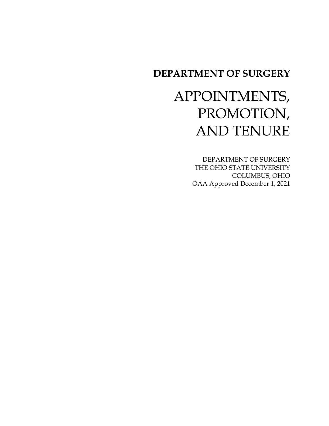# **DEPARTMENT OF SURGERY**

# APPOINTMENTS, PROMOTION, AND TENURE

DEPARTMENT OF SURGERY THE OHIO STATE UNIVERSITY COLUMBUS, OHIO OAA Approved December 1, 2021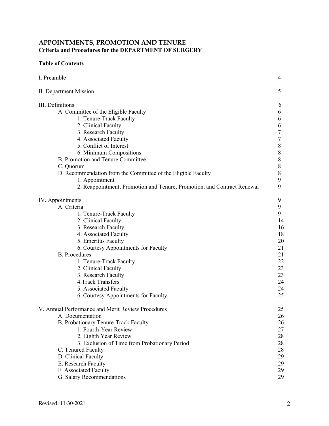# **APPOINTMENTS, PROMOTION AND TENURE Criteria and Procedures for the DEPARTMENT OF SURGERY**

# **Table of Contents**

| I. Preamble                                                             | 4  |
|-------------------------------------------------------------------------|----|
| II. Department Mission                                                  | 5  |
| III. Definitions                                                        | 6  |
| A. Committee of the Eligible Faculty                                    | 6  |
| 1. Tenure-Track Faculty                                                 | 6  |
| 2. Clinical Faculty                                                     | 6  |
| 3. Research Faculty                                                     | 7  |
| 4. Associated Faculty                                                   | 7  |
| 5. Conflict of Interest                                                 | 8  |
| 6. Minimum Compositions                                                 | 8  |
| B. Promotion and Tenure Committee                                       | 8  |
| C. Quorum                                                               | 8  |
| D. Recommendation from the Committee of the Eligible Faculty            | 8  |
| 1. Appointment                                                          | 9  |
| 2. Reappointment, Promotion and Tenure, Promotion, and Contract Renewal | 9  |
| IV. Appointments                                                        | 9  |
| A. Criteria                                                             | 9  |
| 1. Tenure-Track Faculty                                                 | 9  |
| 2. Clinical Faculty                                                     | 14 |
| 3. Research Faculty                                                     | 16 |
| 4. Associated Faculty                                                   | 18 |
| 5. Emeritus Faculty                                                     | 20 |
| 6. Courtesy Appointments for Faculty                                    | 21 |
| <b>B.</b> Procedures                                                    | 21 |
| 1. Tenure-Track Faculty                                                 | 22 |
| 2. Clinical Faculty                                                     | 23 |
| 3. Research Faculty                                                     | 23 |
| 4. Track Transfers                                                      | 24 |
| 5. Associated Faculty                                                   | 24 |
| 6. Courtesy Appointments for Faculty                                    | 25 |
| V. Annual Performance and Merit Review Procedures                       | 25 |
| A. Documentation                                                        | 26 |
| B. Probationary Tenure-Track Faculty                                    | 26 |
| 1. Fourth-Year Review                                                   | 27 |
| 2. Eighth Year Review                                                   | 28 |
| 3. Exclusion of Time from Probationary Period                           | 28 |
| C. Tenured Faculty                                                      | 28 |
| D. Clinical Faculty                                                     | 29 |
| E. Research Faculty                                                     | 29 |
| F. Associated Faculty                                                   | 29 |
| G. Salary Recommendations                                               | 29 |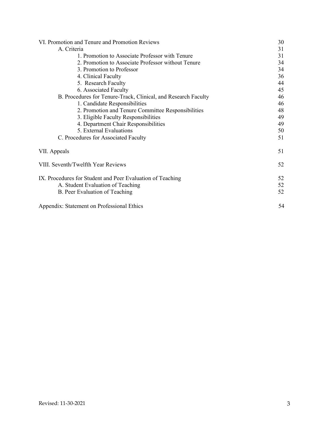| VI. Promotion and Tenure and Promotion Reviews                      | 30       |
|---------------------------------------------------------------------|----------|
| A. Criteria                                                         | 31       |
| 1. Promotion to Associate Professor with Tenure                     | 31       |
| 2. Promotion to Associate Professor without Tenure                  | 34       |
| 3. Promotion to Professor                                           | 34       |
| 4. Clinical Faculty                                                 | 36       |
| 5. Research Faculty                                                 | 44       |
| 6. Associated Faculty                                               | 45       |
| B. Procedures for Tenure-Track, Clinical, and Research Faculty      | 46       |
| 1. Candidate Responsibilities                                       | 46       |
| 2. Promotion and Tenure Committee Responsibilities                  | 48       |
| 3. Eligible Faculty Responsibilities                                | 49       |
| 4. Department Chair Responsibilities                                | 49       |
| 5. External Evaluations                                             | 50       |
| C. Procedures for Associated Faculty                                | 51       |
| VII. Appeals                                                        | 51       |
| VIII. Seventh/Twelfth Year Reviews                                  | 52       |
| IX. Procedures for Student and Peer Evaluation of Teaching          | 52       |
| A. Student Evaluation of Teaching<br>B. Peer Evaluation of Teaching | 52<br>52 |
| Appendix: Statement on Professional Ethics                          | 54       |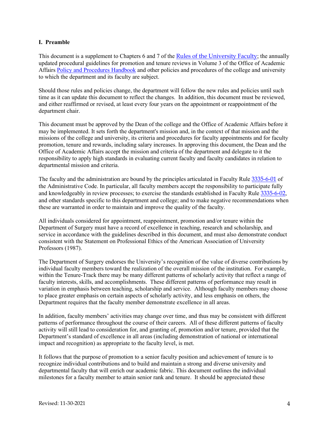# **I. Preamble**

This document is a supplement to Chapters 6 and 7 of the [Rules of the University Faculty](https://trustees.osu.edu/bylaws-and-rules/university-faculty-rules); the annually updated procedural guidelines for promotion and tenure reviews in Volume 3 of the Office of Academic Affairs [Policy and Procedures Handbook](https://oaa.osu.edu/policies-and-procedures-handbook) and other policies and procedures of the college and university to which the department and its faculty are subject.

Should those rules and policies change, the department will follow the new rules and policies until such time as it can update this document to reflect the changes. In addition, this document must be reviewed, and either reaffirmed or revised, at least every four years on the appointment or reappointment of the department chair.

This document must be approved by the Dean of the college and the Office of Academic Affairs before it may be implemented. It sets forth the department's mission and, in the context of that mission and the missions of the college and university, its criteria and procedures for faculty appointments and for faculty promotion, tenure and rewards, including salary increases. In approving this document, the Dean and the Office of Academic Affairs accept the mission and criteria of the department and delegate to it the responsibility to apply high standards in evaluating current faculty and faculty candidates in relation to departmental mission and criteria.

The faculty and the administration are bound by the principles articulated in Faculty Rule [3335-6-01](https://trustees.osu.edu/rules/university-rules/chapter-3335-6-rules-of-the-university-faculty-concerning-faculty-appointments-reappointments-promotion-and-tenure.html) of the Administrative Code. In particular, all faculty members accept the responsibility to participate fully and knowledgeably in review processes; to exercise the standards established in Faculty Rule [3335-6-02](https://trustees.osu.edu/rules/university-rules/chapter-3335-6-rules-of-the-university-faculty-concerning-faculty-appointments-reappointments-promotion-and-tenure.html), and other standards specific to this department and college; and to make negative recommendations when these are warranted in order to maintain and improve the quality of the faculty.

All individuals considered for appointment, reappointment, promotion and/or tenure within the Department of Surgery must have a record of excellence in teaching, research and scholarship, and service in accordance with the guidelines described in this document, and must also demonstrate conduct consistent with the Statement on Professional Ethics of the American Association of University Professors (1987).

The Department of Surgery endorses the University's recognition of the value of diverse contributions by individual faculty members toward the realization of the overall mission of the institution. For example, within the Tenure-Track there may be many different patterns of scholarly activity that reflect a range of faculty interests, skills, and accomplishments. These different patterns of performance may result in variation in emphasis between teaching, scholarship and service. Although faculty members may choose to place greater emphasis on certain aspects of scholarly activity, and less emphasis on others, the Department requires that the faculty member demonstrate excellence in all areas.

In addition, faculty members' activities may change over time, and thus may be consistent with different patterns of performance throughout the course of their careers. All of these different patterns of faculty activity will still lead to consideration for, and granting of, promotion and/or tenure, provided that the Department's standard of excellence in all areas (including demonstration of national or international impact and recognition) as appropriate to the faculty level, is met.

It follows that the purpose of promotion to a senior faculty position and achievement of tenure is to recognize individual contributions and to build and maintain a strong and diverse university and departmental faculty that will enrich our academic fabric. This document outlines the individual milestones for a faculty member to attain senior rank and tenure. It should be appreciated these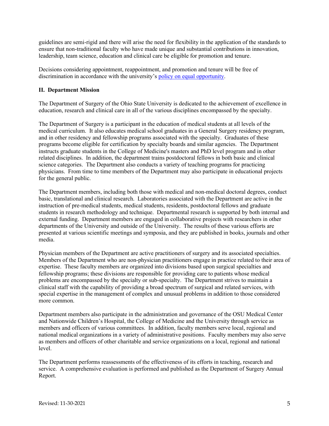guidelines are semi-rigid and there will arise the need for flexibility in the application of the standards to ensure that non-traditional faculty who have made unique and substantial contributions in innovation, leadership, team science, education and clinical care be eligible for promotion and tenure.

Decisions considering appointment, reappointment, and promotion and tenure will be free of discrimination in accordance with the university's [policy on equal opportunity.](https://policies.osu.edu/assets/docs/policy_pdfs/AffirmativeActionEqualEmploymentOpportunityandNon-Discrimination-Harassment_FINAL.pdf)

# **II. Department Mission**

The Department of Surgery of the Ohio State University is dedicated to the achievement of excellence in education, research and clinical care in all of the various disciplines encompassed by the specialty.

The Department of Surgery is a participant in the education of medical students at all levels of the medical curriculum. It also educates medical school graduates in a General Surgery residency program, and in other residency and fellowship programs associated with the specialty. Graduates of these programs become eligible for certification by specialty boards and similar agencies. The Department instructs graduate students in the College of Medicine's masters and PhD level program and in other related disciplines. In addition, the department trains postdoctoral fellows in both basic and clinical science categories. The Department also conducts a variety of teaching programs for practicing physicians. From time to time members of the Department may also participate in educational projects for the general public.

The Department members, including both those with medical and non-medical doctoral degrees, conduct basic, translational and clinical research. Laboratories associated with the Department are active in the instruction of pre-medical students, medical students, residents, postdoctoral fellows and graduate students in research methodology and technique. Departmental research is supported by both internal and external funding. Department members are engaged in collaborative projects with researchers in other departments of the University and outside of the University. The results of these various efforts are presented at various scientific meetings and symposia, and they are published in books, journals and other media.

Physician members of the Department are active practitioners of surgery and its associated specialties. Members of the Department who are non-physician practitioners engage in practice related to their area of expertise. These faculty members are organized into divisions based upon surgical specialties and fellowship programs; these divisions are responsible for providing care to patients whose medical problems are encompassed by the specialty or sub-specialty. The Department strives to maintain a clinical staff with the capability of providing a broad spectrum of surgical and related services, with special expertise in the management of complex and unusual problems in addition to those considered more common.

Department members also participate in the administration and governance of the OSU Medical Center and Nationwide Children's Hospital, the College of Medicine and the University through service as members and officers of various committees. In addition, faculty members serve local, regional and national medical organizations in a variety of administrative positions. Faculty members may also serve as members and officers of other charitable and service organizations on a local, regional and national level.

The Department performs reassessments of the effectiveness of its efforts in teaching, research and service. A comprehensive evaluation is performed and published as the Department of Surgery Annual Report.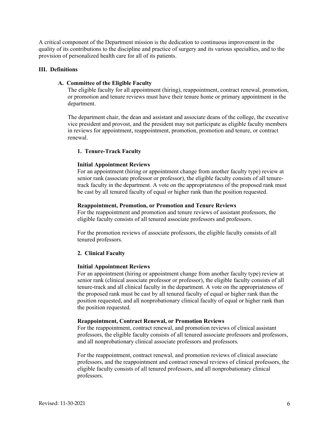A critical component of the Department mission is the dedication to continuous improvement in the quality of its contributions to the discipline and practice of surgery and its various specialties, and to the provision of personalized health care for all of its patients.

#### **III. Definitions**

#### **A. Committee of the Eligible Faculty**

The eligible faculty for all appointment (hiring), reappointment, contract renewal, promotion, or promotion and tenure reviews must have their tenure home or primary appointment in the department.

The department chair, the dean and assistant and associate deans of the college, the executive vice president and provost, and the president may not participate as eligible faculty members in reviews for appointment, reappointment, promotion, promotion and tenure, or contract renewal.

#### **1. Tenure-Track Faculty**

#### **Initial Appointment Reviews**

For an appointment (hiring or appointment change from another faculty type) review at senior rank (associate professor or professor), the eligible faculty consists of all tenuretrack faculty in the department*.* A vote on the appropriateness of the proposed rank must be cast by all tenured faculty of equal or higher rank than the position requested.

#### **Reappointment, Promotion, or Promotion and Tenure Reviews**

For the reappointment and promotion and tenure reviews of assistant professors, the eligible faculty consists of all tenured associate professors and professors.

For the promotion reviews of associate professors, the eligible faculty consists of all tenured professors.

#### **2. Clinical Faculty**

#### **Initial Appointment Reviews**

For an appointment (hiring or appointment change from another faculty type) review at senior rank (clinical associate professor or professor), the eligible faculty consists of all tenure-track and all clinical faculty in the department. A vote on the appropriateness of the proposed rank must be cast by all tenured faculty of equal or higher rank than the position requested, and all nonprobationary clinical faculty of equal or higher rank than the position requested.

#### **Reappointment, Contract Renewal, or Promotion Reviews**

For the reappointment, contract renewal, and promotion reviews of clinical assistant professors, the eligible faculty consists of all tenured associate professors and professors, and all nonprobationary clinical associate professors and professors.

For the reappointment, contract renewal, and promotion reviews of clinical associate professors, and the reappointment and contract renewal reviews of clinical professors, the eligible faculty consists of all tenured professors, and all nonprobationary clinical professors.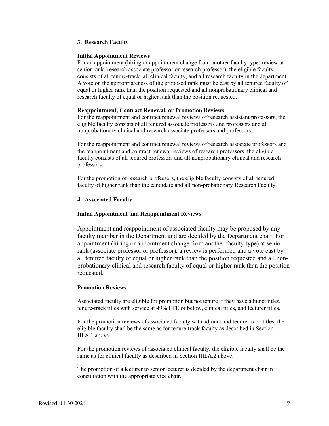# **3. Research Faculty**

#### **Initial Appointment Reviews**

For an appointment (hiring or appointment change from another faculty type) review at senior rank (research associate professor or research professor), the eligible faculty consists of all tenure-track, all clinical faculty, and all research faculty in the department. A vote on the appropriateness of the proposed rank must be cast by all tenured faculty of equal or higher rank than the position requested and all nonprobationary clinical and research faculty of equal or higher rank than the position requested.

#### **Reappointment, Contract Renewal, or Promotion Reviews**

For the reappointment and contract renewal reviews of research assistant professors, the eligible faculty consists of all tenured associate professors and professors and all nonprobationary clinical and research associate professors and professors.

For the reappointment and contract renewal reviews of research associate professors and the reappointment and contract renewal reviews of research professors, the eligible faculty consists of all tenured professors and all nonprobationary clinical and research professors.

For the promotion of research professors, the eligible faculty consists of all tenured faculty of higher rank than the candidate and all non-probationary Research Faculty.

# **4. Associated Faculty**

# **Initial Appointment and Reappointment Reviews**

Appointment and reappointment of associated faculty may be proposed by any faculty member in the Department and are decided by the Department chair. For appointment (hiring or appointment change from another faculty type) at senior rank (associate professor or professor), a review is performed and a vote cast by all tenured faculty of equal or higher rank than the position requested and all nonprobationary clinical and research faculty of equal or higher rank than the position requested.

#### **Promotion Reviews**

Associated faculty are eligible for promotion but not tenure if they have adjunct titles, tenure-track titles with service at 49% FTE or below, clinical titles, and lecturer titles.

For the promotion reviews of associated faculty with adjunct and tenure-track titles, the eligible faculty shall be the same as for tenure-track faculty as described in Section III.A.1 above.

For the promotion reviews of associated clinical faculty, the eligible faculty shall be the same as for clinical faculty as described in Section IIII.A.2 above.

The promotion of a lecturer to senior lecturer is decided by the department chair in consultation with the appropriate vice chair.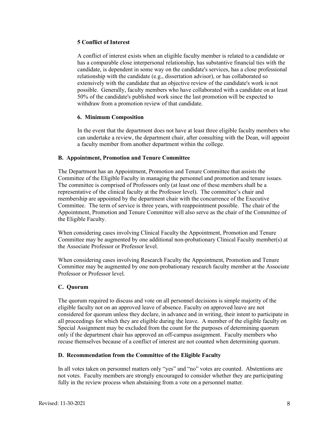# **5 Conflict of Interest**

A conflict of interest exists when an eligible faculty member is related to a candidate or has a comparable close interpersonal relationship, has substantive financial ties with the candidate, is dependent in some way on the candidate's services, has a close professional relationship with the candidate (e.g., dissertation advisor), or has collaborated so extensively with the candidate that an objective review of the candidate's work is not possible. Generally, faculty members who have collaborated with a candidate on at least 50% of the candidate's published work since the last promotion will be expected to withdraw from a promotion review of that candidate.

# **6. Minimum Composition**

In the event that the department does not have at least three eligible faculty members who can undertake a review, the department chair, after consulting with the Dean, will appoint a faculty member from another department within the college.

# **B. Appointment, Promotion and Tenure Committee**

The Department has an Appointment, Promotion and Tenure Committee that assists the Committee of the Eligible Faculty in managing the personnel and promotion and tenure issues. The committee is comprised of Professors only (at least one of these members shall be a representative of the clinical faculty at the Professor level). The committee's chair and membership are appointed by the department chair with the concurrence of the Executive Committee. The term of service is three years, with reappointment possible. The chair of the Appointment, Promotion and Tenure Committee will also serve as the chair of the Committee of the Eligible Faculty.

When considering cases involving Clinical Faculty the Appointment, Promotion and Tenure Committee may be augmented by one additional non-probationary Clinical Faculty member(s) at the Associate Professor or Professor level.

When considering cases involving Research Faculty the Appointment, Promotion and Tenure Committee may be augmented by one non-probationary research faculty member at the Associate Professor or Professor level.

# **C. Quorum**

The quorum required to discuss and vote on all personnel decisions is simple majority of the eligible faculty not on an approved leave of absence. Faculty on approved leave are not considered for quorum unless they declare, in advance and in writing, their intent to participate in all proceedings for which they are eligible during the leave. A member of the eligible faculty on Special Assignment may be excluded from the count for the purposes of determining quorum only if the department chair has approved an off-campus assignment. Faculty members who recuse themselves because of a conflict of interest are not counted when determining quorum.

# **D. Recommendation from the Committee of the Eligible Faculty**

In all votes taken on personnel matters only "yes" and "no" votes are counted. Abstentions are not votes. Faculty members are strongly encouraged to consider whether they are participating fully in the review process when abstaining from a vote on a personnel matter.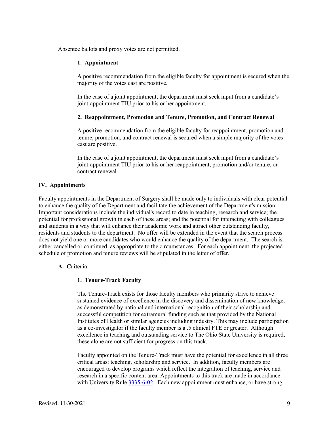Absentee ballots and proxy votes are not permitted.

#### **1. Appointment**

A positive recommendation from the eligible faculty for appointment is secured when the majority of the votes cast are positive.

In the case of a joint appointment, the department must seek input from a candidate's joint-appointment TIU prior to his or her appointment.

#### **2. Reappointment, Promotion and Tenure, Promotion, and Contract Renewal**

A positive recommendation from the eligible faculty for reappointment, promotion and tenure, promotion, and contract renewal is secured when a simple majority of the votes cast are positive.

In the case of a joint appointment, the department must seek input from a candidate's joint-appointment TIU prior to his or her reappointment, promotion and/or tenure, or contract renewal.

#### **IV. Appointments**

Faculty appointments in the Department of Surgery shall be made only to individuals with clear potential to enhance the quality of the Department and facilitate the achievement of the Department's mission. Important considerations include the individual's record to date in teaching, research and service; the potential for professional growth in each of these areas; and the potential for interacting with colleagues and students in a way that will enhance their academic work and attract other outstanding faculty, residents and students to the department. No offer will be extended in the event that the search process does not yield one or more candidates who would enhance the quality of the department. The search is either cancelled or continued, as appropriate to the circumstances. For each appointment, the projected schedule of promotion and tenure reviews will be stipulated in the letter of offer.

# **A. Criteria**

#### **1. Tenure-Track Faculty**

The Tenure-Track exists for those faculty members who primarily strive to achieve sustained evidence of excellence in the discovery and dissemination of new knowledge, as demonstrated by national and international recognition of their scholarship and successful competition for extramural funding such as that provided by the National Institutes of Health or similar agencies including industry. This may include participation as a co-investigator if the faculty member is a .5 clinical FTE or greater. Although excellence in teaching and outstanding service to The Ohio State University is required, these alone are not sufficient for progress on this track.

Faculty appointed on the Tenure-Track must have the potential for excellence in all three critical areas: teaching, scholarship and service. In addition, faculty members are encouraged to develop programs which reflect the integration of teaching, service and research in a specific content area. Appointments to this track are made in accordance with University Rule [3335-6-02.](https://trustees.osu.edu/bylaws-and-rules/3335-6) Each new appointment must enhance, or have strong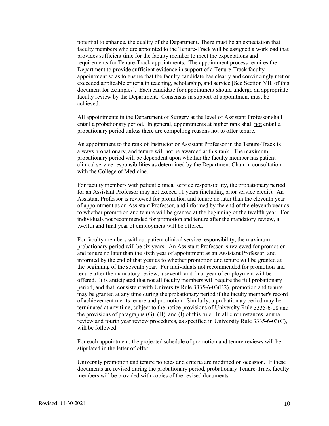potential to enhance, the quality of the Department. There must be an expectation that faculty members who are appointed to the Tenure-Track will be assigned a workload that provides sufficient time for the faculty member to meet the expectations and requirements for Tenure-Track appointments. The appointment process requires the Department to provide sufficient evidence in support of a Tenure-Track faculty appointment so as to ensure that the faculty candidate has clearly and convincingly met or exceeded applicable criteria in teaching, scholarship, and service [See Section VII. of this document for examples]. Each candidate for appointment should undergo an appropriate faculty review by the Department. Consensus in support of appointment must be achieved.

All appointments in the Department of Surgery at the level of Assistant Professor shall entail a probationary period. In general, appointments at higher rank shall not entail a probationary period unless there are compelling reasons not to offer tenure.

An appointment to the rank of Instructor or Assistant Professor in the Tenure-Track is always probationary, and tenure will not be awarded at this rank. The maximum probationary period will be dependent upon whether the faculty member has patient clinical service responsibilities as determined by the Department Chair in consultation with the College of Medicine.

For faculty members with patient clinical service responsibility, the probationary period for an Assistant Professor may not exceed 11 years (including prior service credit). An Assistant Professor is reviewed for promotion and tenure no later than the eleventh year of appointment as an Assistant Professor, and informed by the end of the eleventh year as to whether promotion and tenure will be granted at the beginning of the twelfth year. For individuals not recommended for promotion and tenure after the mandatory review, a twelfth and final year of employment will be offered.

For faculty members without patient clinical service responsibility, the maximum probationary period will be six years. An Assistant Professor is reviewed for promotion and tenure no later than the sixth year of appointment as an Assistant Professor, and informed by the end of that year as to whether promotion and tenure will be granted at the beginning of the seventh year. For individuals not recommended for promotion and tenure after the mandatory review, a seventh and final year of employment will be offered. It is anticipated that not all faculty members will require the full probationary period, and that, consistent with University Rule [3335-6-03\(](https://trustees.osu.edu/bylaws-and-rules/3335-6)B2), promotion and tenure may be granted at any time during the probationary period if the faculty member's record of achievement merits tenure and promotion. Similarly, a probationary period may be terminated at any time, subject to the notice provisions of University Rule [3335-6-08](https://trustees.osu.edu/bylaws-and-rules/3335-6) and the provisions of paragraphs (G), (H), and (I) of this rule. In all circumstances, annual review and fourth year review procedures, as specified in University Rule [3335-6-03\(](https://trustees.osu.edu/bylaws-and-rules/3335-6)C), will be followed.

For each appointment, the projected schedule of promotion and tenure reviews will be stipulated in the letter of offer.

University promotion and tenure policies and criteria are modified on occasion. If these documents are revised during the probationary period, probationary Tenure-Track faculty members will be provided with copies of the revised documents.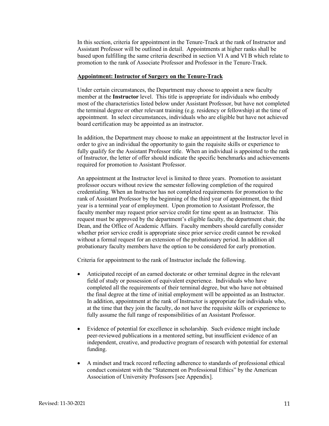In this section, criteria for appointment in the Tenure-Track at the rank of Instructor and Assistant Professor will be outlined in detail. Appointments at higher ranks shall be based upon fulfilling the same criteria described in section VI A and VI B which relate to promotion to the rank of Associate Professor and Professor in the Tenure-Track.

#### **Appointment: Instructor of Surgery on the Tenure-Track**

Under certain circumstances, the Department may choose to appoint a new faculty member at the **Instructor** level. This title is appropriate for individuals who embody most of the characteristics listed below under Assistant Professor, but have not completed the terminal degree or other relevant training (e.g. residency or fellowship) at the time of appointment. In select circumstances, individuals who are eligible but have not achieved board certification may be appointed as an instructor.

In addition, the Department may choose to make an appointment at the Instructor level in order to give an individual the opportunity to gain the requisite skills or experience to fully qualify for the Assistant Professor title. When an individual is appointed to the rank of Instructor, the letter of offer should indicate the specific benchmarks and achievements required for promotion to Assistant Professor.

An appointment at the Instructor level is limited to three years. Promotion to assistant professor occurs without review the semester following completion of the required credentialing. When an Instructor has not completed requirements for promotion to the rank of Assistant Professor by the beginning of the third year of appointment, the third year is a terminal year of employment. Upon promotion to Assistant Professor, the faculty member may request prior service credit for time spent as an Instructor. This request must be approved by the department's eligible faculty, the department chair, the Dean, and the Office of Academic Affairs. Faculty members should carefully consider whether prior service credit is appropriate since prior service credit cannot be revoked without a formal request for an extension of the probationary period. In addition all probationary faculty members have the option to be considered for early promotion.

Criteria for appointment to the rank of Instructor include the following.

- Anticipated receipt of an earned doctorate or other terminal degree in the relevant field of study or possession of equivalent experience. Individuals who have completed all the requirements of their terminal degree, but who have not obtained the final degree at the time of initial employment will be appointed as an Instructor. In addition, appointment at the rank of Instructor is appropriate for individuals who, at the time that they join the faculty, do not have the requisite skills or experience to fully assume the full range of responsibilities of an Assistant Professor.
- Evidence of potential for excellence in scholarship. Such evidence might include peer-reviewed publications in a mentored setting, but insufficient evidence of an independent, creative, and productive program of research with potential for external funding.
- A mindset and track record reflecting adherence to standards of professional ethical conduct consistent with the "Statement on Professional Ethics" by the American Association of University Professors [see Appendix].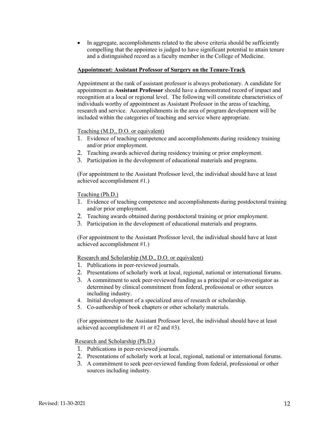• In aggregate, accomplishments related to the above criteria should be sufficiently compelling that the appointee is judged to have significant potential to attain tenure and a distinguished record as a faculty member in the College of Medicine.

#### **Appointment: Assistant Professor of Surgery on the Tenure-Track**

Appointment at the rank of assistant professor is always probationary. A candidate for appointment as **Assistant Professor** should have a demonstrated record of impact and recognition at a local or regional level. The following will constitute characteristics of individuals worthy of appointment as Assistant Professor in the areas of teaching, research and service. Accomplishments in the area of program development will be included within the categories of teaching and service where appropriate.

#### Teaching (M.D., D.O. or equivalent)

- 1. Evidence of teaching competence and accomplishments during residency training and/or prior employment.
- 2. Teaching awards achieved during residency training or prior employment.
- 3. Participation in the development of educational materials and programs.

(For appointment to the Assistant Professor level, the individual should have at least achieved accomplishment #1.)

Teaching (Ph.D.)

- 1. Evidence of teaching competence and accomplishments during postdoctoral training and/or prior employment.
- 2. Teaching awards obtained during postdoctoral training or prior employment.
- 3. Participation in the development of educational materials and programs.

(For appointment to the Assistant Professor level, the individual should have at least achieved accomplishment #1.)

Research and Scholarship (M.D., D.O. or equivalent)

- 1. Publications in peer-reviewed journals.
- 2. Presentations of scholarly work at local, regional, national or international forums.
- 3. A commitment to seek peer-reviewed funding as a principal or co-investigator as determined by clinical commitment from federal, professional or other sources including industry.
- 4. Initial development of a specialized area of research or scholarship.
- 5. Co-authorship of book chapters or other scholarly materials.

(For appointment to the Assistant Professor level, the individual should have at least achieved accomplishment #1 or #2 and #3).

Research and Scholarship (Ph.D.)

- 1. Publications in peer-reviewed journals.
- 2. Presentations of scholarly work at local, regional, national or international forums.
- 3. A commitment to seek peer-reviewed funding from federal, professional or other sources including industry.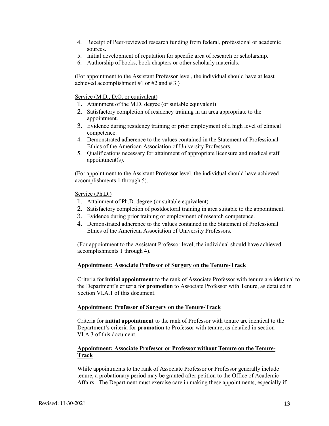- 4. Receipt of Peer-reviewed research funding from federal, professional or academic sources.
- 5. Initial development of reputation for specific area of research or scholarship.
- 6. Authorship of books, book chapters or other scholarly materials.

(For appointment to the Assistant Professor level, the individual should have at least achieved accomplishment #1 or #2 and #3.)

#### Service (M.D., D.O. or equivalent)

- 1. Attainment of the M.D. degree (or suitable equivalent)
- 2. Satisfactory completion of residency training in an area appropriate to the appointment.
- 3. Evidence during residency training or prior employment of a high level of clinical competence.
- 4. Demonstrated adherence to the values contained in the Statement of Professional Ethics of the American Association of University Professors.
- 5. Qualifications necessary for attainment of appropriate licensure and medical staff appointment(s).

(For appointment to the Assistant Professor level, the individual should have achieved accomplishments 1 through 5).

Service (Ph.D.)

- 1. Attainment of Ph.D. degree (or suitable equivalent).
- 2. Satisfactory completion of postdoctoral training in area suitable to the appointment.
- 3. Evidence during prior training or employment of research competence.
- 4. Demonstrated adherence to the values contained in the Statement of Professional Ethics of the American Association of University Professors*.*

(For appointment to the Assistant Professor level, the individual should have achieved accomplishments 1 through 4).

#### **Appointment: Associate Professor of Surgery on the Tenure-Track**

Criteria for **initial appointment** to the rank of Associate Professor with tenure are identical to the Department's criteria for **promotion** to Associate Professor with Tenure, as detailed in Section VI.A.1 of this document.

#### **Appointment: Professor of Surgery on the Tenure-Track**

Criteria for **initial appointment** to the rank of Professor with tenure are identical to the Department's criteria for **promotion** to Professor with tenure, as detailed in section VI.A.3 of this document.

# **Appointment: Associate Professor or Professor without Tenure on the Tenure-Track**

While appointments to the rank of Associate Professor or Professor generally include tenure, a probationary period may be granted after petition to the Office of Academic Affairs. The Department must exercise care in making these appointments, especially if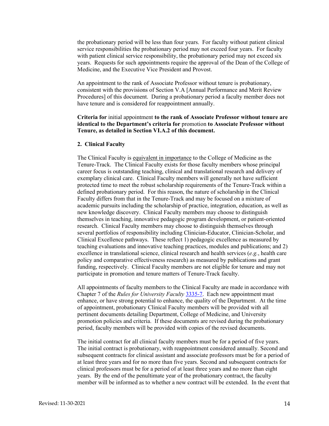the probationary period will be less than four years. For faculty without patient clinical service responsibilities the probationary period may not exceed four years. For faculty with patient clinical service responsibility, the probationary period may not exceed six years. Requests for such appointments require the approval of the Dean of the College of Medicine, and the Executive Vice President and Provost.

An appointment to the rank of Associate Professor without tenure is probationary, consistent with the provisions of Section V.A [Annual Performance and Merit Review Procedures] of this document. During a probationary period a faculty member does not have tenure and is considered for reappointment annually.

# **Criteria for** initial appointment **to the rank of Associate Professor without tenure are identical to the Department's criteria for** promotion **to Associate Professor without Tenure, as detailed in Section VI.A.2 of this document.**

#### **2. Clinical Faculty**

The Clinical Faculty is equivalent in importance to the College of Medicine as the Tenure-Track. The Clinical Faculty exists for those faculty members whose principal career focus is outstanding teaching, clinical and translational research and delivery of exemplary clinical care. Clinical Faculty members will generally not have sufficient protected time to meet the robust scholarship requirements of the Tenure-Track within a defined probationary period. For this reason, the nature of scholarship in the Clinical Faculty differs from that in the Tenure-Track and may be focused on a mixture of academic pursuits including the scholarship of practice, integration, education, as well as new knowledge discovery. Clinical Faculty members may choose to distinguish themselves in teaching, innovative pedagogic program development, or patient-oriented research. Clinical Faculty members may choose to distinguish themselves through several portfolios of responsibility including Clinician-Educator, Clinician-Scholar, and Clinical Excellence pathways. These reflect 1) pedagogic excellence as measured by teaching evaluations and innovative teaching practices, modules and publications; and 2) excellence in translational science, clinical research and health services (*e.g.*, health care policy and comparative effectiveness research) as measured by publications and grant funding, respectively. Clinical Faculty members are not eligible for tenure and may not participate in promotion and tenure matters of Tenure-Track faculty.

All appointments of faculty members to the Clinical Faculty are made in accordance with Chapter 7 of the *Rules for University Faculty* [3335-7.](https://trustees.osu.edu/university-faculty-rules/3335-7) Each new appointment must enhance, or have strong potential to enhance, the quality of the Department. At the time of appointment, probationary Clinical Faculty members will be provided with all pertinent documents detailing Department, College of Medicine, and University promotion policies and criteria. If these documents are revised during the probationary period, faculty members will be provided with copies of the revised documents.

The initial contract for all clinical faculty members must be for a period of five years. The initial contract is probationary, with reappointment considered annually. Second and subsequent contracts for clinical assistant and associate professors must be for a period of at least three years and for no more than five years. Second and subsequent contracts for clinical professors must be for a period of at least three years and no more than eight years. By the end of the penultimate year of the probationary contract, the faculty member will be informed as to whether a new contract will be extended. In the event that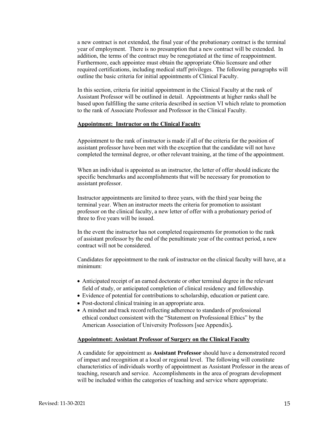a new contract is not extended, the final year of the probationary contract is the terminal year of employment. There is no presumption that a new contract will be extended. In addition, the terms of the contract may be renegotiated at the time of reappointment. Furthermore, each appointee must obtain the appropriate Ohio licensure and other required certifications, including medical staff privileges. The following paragraphs will outline the basic criteria for initial appointments of Clinical Faculty.

In this section, criteria for initial appointment in the Clinical Faculty at the rank of Assistant Professor will be outlined in detail. Appointments at higher ranks shall be based upon fulfilling the same criteria described in section VI which relate to promotion to the rank of Associate Professor and Professor in the Clinical Faculty.

# **Appointment: Instructor on the Clinical Faculty**

Appointment to the rank of instructor is made if all of the criteria for the position of assistant professor have been met with the exception that the candidate will not have completed the terminal degree, or other relevant training, at the time of the appointment.

When an individual is appointed as an instructor, the letter of offer should indicate the specific benchmarks and accomplishments that will be necessary for promotion to assistant professor.

Instructor appointments are limited to three years, with the third year being the terminal year. When an instructor meets the criteria for promotion to assistant professor on the clinical faculty, a new letter of offer with a probationary period of three to five years will be issued.

In the event the instructor has not completed requirements for promotion to the rank of assistant professor by the end of the penultimate year of the contract period, a new contract will not be considered.

Candidates for appointment to the rank of instructor on the clinical faculty will have, at a minimum:

- Anticipated receipt of an earned doctorate or other terminal degree in the relevant field of study, or anticipated completion of clinical residency and fellowship.
- Evidence of potential for contributions to scholarship, education or patient care.
- Post-doctoral clinical training in an appropriate area.
- A mindset and track record reflecting adherence to standards of professional ethical conduct consistent with the "Statement on Professional Ethics" by the American Association of University Professors [see Appendix]**.**

#### **Appointment: Assistant Professor of Surgery on the Clinical Faculty**

A candidate for appointment as **Assistant Professor** should have a demonstrated record of impact and recognition at a local or regional level. The following will constitute characteristics of individuals worthy of appointment as Assistant Professor in the areas of teaching, research and service. Accomplishments in the area of program development will be included within the categories of teaching and service where appropriate.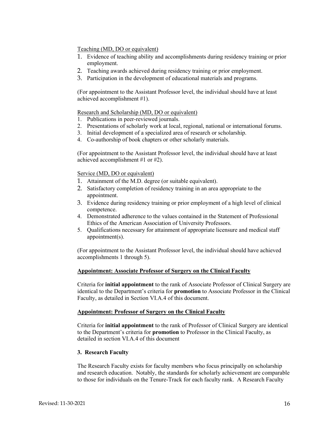# Teaching (MD, DO or equivalent)

- 1. Evidence of teaching ability and accomplishments during residency training or prior employment.
- 2. Teaching awards achieved during residency training or prior employment.
- 3. Participation in the development of educational materials and programs.

(For appointment to the Assistant Professor level, the individual should have at least achieved accomplishment #1).

# Research and Scholarship (MD, DO or equivalent)

- 1. Publications in peer-reviewed journals.
- 2. Presentations of scholarly work at local, regional, national or international forums.
- 3. Initial development of a specialized area of research or scholarship.
- 4. Co-authorship of book chapters or other scholarly materials.

(For appointment to the Assistant Professor level, the individual should have at least achieved accomplishment #1 or #2).

# Service (MD, DO or equivalent)

- 1. Attainment of the M.D. degree (or suitable equivalent).
- 2. Satisfactory completion of residency training in an area appropriate to the appointment.
- 3. Evidence during residency training or prior employment of a high level of clinical competence.
- 4. Demonstrated adherence to the values contained in the Statement of Professional Ethics of the American Association of University Professors.
- 5. Qualifications necessary for attainment of appropriate licensure and medical staff appointment(s).

(For appointment to the Assistant Professor level, the individual should have achieved accomplishments 1 through 5).

# **Appointment: Associate Professor of Surgery on the Clinical Faculty**

Criteria for **initial appointment** to the rank of Associate Professor of Clinical Surgery are identical to the Department's criteria for **promotion** to Associate Professor in the Clinical Faculty, as detailed in Section VI.A.4 of this document.

# **Appointment: Professor of Surgery on the Clinical Faculty**

Criteria for **initial appointment** to the rank of Professor of Clinical Surgery are identical to the Department's criteria for **promotion** to Professor in the Clinical Faculty, as detailed in section VI.A.4 of this document

# **3. Research Faculty**

The Research Faculty exists for faculty members who focus principally on scholarship and research education. Notably, the standards for scholarly achievement are comparable to those for individuals on the Tenure-Track for each faculty rank. A Research Faculty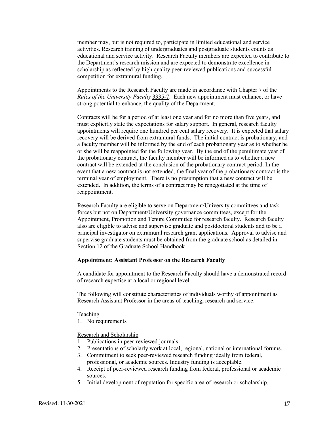member may, but is not required to, participate in limited educational and service activities. Research training of undergraduates and postgraduate students counts as educational and service activity. Research Faculty members are expected to contribute to the Department's research mission and are expected to demonstrate excellence in scholarship as reflected by high quality peer-reviewed publications and successful competition for extramural funding.

Appointments to the Research Faculty are made in accordance with Chapter 7 of the *Rules of the University Faculty* [3335-7.](https://trustees.osu.edu/university-faculty-rules/3335-7)Each new appointment must enhance, or have strong potential to enhance, the quality of the Department.

Contracts will be for a period of at least one year and for no more than five years, and must explicitly state the expectations for salary support. In general, research faculty appointments will require one hundred per cent salary recovery. It is expected that salary recovery will be derived from extramural funds. The initial contract is probationary, and a faculty member will be informed by the end of each probationary year as to whether he or she will be reappointed for the following year. By the end of the penultimate year of the probationary contract, the faculty member will be informed as to whether a new contract will be extended at the conclusion of the probationary contract period. In the event that a new contract is not extended, the final year of the probationary contract is the terminal year of employment. There is no presumption that a new contract will be extended. In addition, the terms of a contract may be renegotiated at the time of reappointment.

Research Faculty are eligible to serve on Department/University committees and task forces but not on Department/University governance committees, except for the Appointment, Promotion and Tenure Committee for research faculty. Research faculty also are eligible to advise and supervise graduate and postdoctoral students and to be a principal investigator on extramural research grant applications. Approval to advise and supervise graduate students must be obtained from the graduate school as detailed in Section 12 of the [Graduate School Handbook.](http://www.gradsch.ohio-state.edu/Depo/PDF/Handbook.pdf)

#### **Appointment: Assistant Professor on the Research Faculty**

A candidate for appointment to the Research Faculty should have a demonstrated record of research expertise at a local or regional level.

The following will constitute characteristics of individuals worthy of appointment as Research Assistant Professor in the areas of teaching, research and service.

Teaching

1. No requirements

Research and Scholarship

- 1. Publications in peer-reviewed journals.
- 2. Presentations of scholarly work at local, regional, national or international forums.
- 3. Commitment to seek peer-reviewed research funding ideally from federal, professional, or academic sources. Industry funding is acceptable.
- 4. Receipt of peer-reviewed research funding from federal, professional or academic sources.
- 5. Initial development of reputation for specific area of research or scholarship.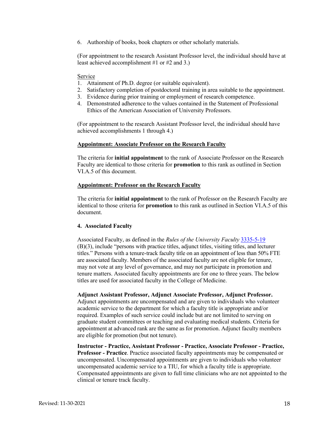6. Authorship of books, book chapters or other scholarly materials.

(For appointment to the research Assistant Professor level, the individual should have at least achieved accomplishment #1 or #2 and 3.)

#### Service

- 1. Attainment of Ph.D. degree (or suitable equivalent).
- 2. Satisfactory completion of postdoctoral training in area suitable to the appointment.
- 3. Evidence during prior training or employment of research competence.
- 4. Demonstrated adherence to the values contained in the Statement of Professional Ethics of the American Association of University Professors.

(For appointment to the research Assistant Professor level, the individual should have achieved accomplishments 1 through 4.)

#### **Appointment: Associate Professor on the Research Faculty**

The criteria for **initial appointment** to the rank of Associate Professor on the Research Faculty are identical to those criteria for **promotion** to this rank as outlined in Section VI.A.5 of this document.

#### **Appointment: Professor on the Research Faculty**

The criteria for **initial appointment** to the rank of Professor on the Research Faculty are identical to those criteria for **promotion** to this rank as outlined in Section VI.A.5 of this document.

#### **4. Associated Faculty**

Associated Faculty, as defined in the *Rules of the University Faculty* [3335-5-19](https://trustees.osu.edu/bylaws-and-rules/3335-5)  (B)(3), include "persons with practice titles, adjunct titles, visiting titles, and lecturer titles." Persons with a tenure- track faculty title on an appointment of less than 50% FTE are associated faculty. Members of the associated faculty are not eligible for tenure, may not vote at any level of governance, and may not participate in promotion and tenure matters. Associated faculty appointments are for one to three years. The below titles are used for associated faculty in the College of Medicine.

**Adjunct Assistant Professor, Adjunct Associate Professor, Adjunct Professor.** 

Adjunct appointments are uncompensated and are given to individuals who volunteer academic service to the department for which a faculty title is appropriate and/or required. Examples of such service could include but are not limited to serving on graduate student committees or teaching and evaluating medical students. Criteria for appointment at advanced rank are the same as for promotion. Adjunct faculty members are eligible for promotion (but not tenure).

**Instructor - Practice, Assistant Professor - Practice, Associate Professor - Practice, Professor - Practice**. Practice associated faculty appointments may be compensated or uncompensated. Uncompensated appointments are given to individuals who volunteer uncompensated academic service to a TIU, for which a faculty title is appropriate. Compensated appointments are given to full time clinicians who are not appointed to the clinical or tenure track faculty.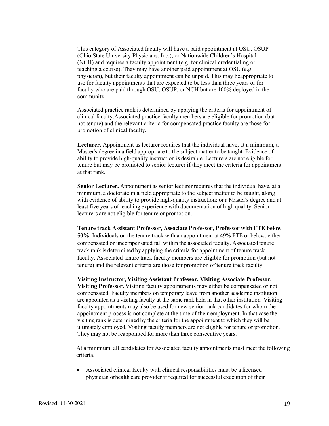This category of Associated faculty will have a paid appointment at OSU, OSUP (Ohio State University Physicians, Inc.), or Nationwide Children's Hospital (NCH) and requires a faculty appointment (e.g. for clinical credentialing or teaching a course). They may have another paid appointment at OSU (e.g. physician), but their faculty appointment can be unpaid. This may be appropriate to use for faculty appointments that are expected to be less than three years or for faculty who are paid through OSU, OSUP, or NCH but are 100% deployed in the community.

Associated practice rank is determined by applying the criteria for appointment of clinical faculty.Associated practice faculty members are eligible for promotion (but not tenure) and the relevant criteria for compensated practice faculty are those for promotion of clinical faculty.

**Lecturer.** Appointment as lecturer requires that the individual have, at a minimum, a Master's degree in a field appropriate to the subject matter to be taught. Evidence of ability to provide high- quality instruction is desirable. Lecturers are not eligible for tenure but may be promoted to senior lecturer if they meet the criteria for appointment at that rank.

**Senior Lecturer.** Appointment as senior lecturer requires that the individual have, at a minimum, a doctorate in a field appropriate to the subject matter to be taught, along with evidence of ability to provide high-quality instruction; or a Master's degree and at least five years of teaching experience with documentation of high quality. Senior lecturers are not eligible for tenure or promotion.

**Tenure track Assistant Professor, Associate Professor, Professor with FTE below 50%.** Individuals on the tenure track with an appointment at 49% FTE or below, either compensated or uncompensated fall within the associated faculty. Associated tenure track rank is determined by applying the criteria for appointment of tenure track faculty. Associated tenure track faculty members are eligible for promotion (but not tenure) and the relevant criteria are those for promotion of tenure track faculty.

**Visiting Instructor, Visiting Assistant Professor, Visiting Associate Professor, Visiting Professor.** Visiting faculty appointments may either be compensated or not compensated. Faculty members on temporary leave from another academic institution are appointed as a visiting faculty at the same rank held in that other institution. Visiting faculty appointments may also be used for new senior rank candidates for whom the appointment process is not complete at the time of their employment. In that case the visiting rank is determined by the criteria for the appointment to which they will be ultimately employed. Visiting faculty members are not eligible for tenure or promotion. They may not be reappointed for more than three consecutive years.

At a minimum, all candidates for Associated faculty appointments must meet the following criteria.

• Associated clinical faculty with clinical responsibilities must be a licensed physician or health care provider if required for successful execution of their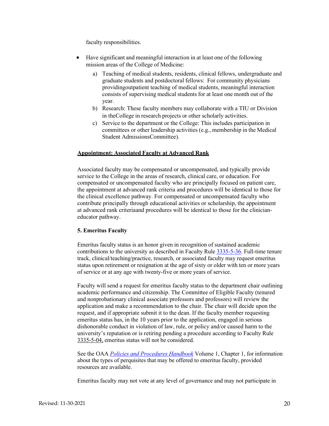faculty responsibilities.

- Have significant and meaningful interaction in at least one of the following mission areas of the College of Medicine:
	- a) Teaching of medical students, residents, clinical fellows, undergraduate and graduate students and postdoctoral fellows: For community physicians providing outpatient teaching of medical students, meaningful interaction consists of supervising medical students for at least one month out of the year.
	- b) Research: These faculty members may collaborate with a TIU or Division in the College in research projects or other scholarly activities.
	- c) Service to the department or the College: This includes participation in committees or other leadership activities (e.g., membership in the Medical Student AdmissionsCommittee).

#### **Appointment: Associated Faculty at Advanced Rank**

Associated faculty may be compensated or uncompensated, and typically provide service to the College in the areas of research, clinical care, or education. For compensated or uncompensated faculty who are principally focused on patient care, the appointment at advanced rank criteria and procedures will be identical to those for the clinical excellence pathway. For compensated or uncompensated faculty who contribute principally through educational activities or scholarship, the appointment at advanced rank criteria and procedures will be identical to those for the clinicianeducator pathway.

#### **5. Emeritus Faculty**

Emeritus faculty status is an honor given in recognition of sustained academic contributions to the university as described in Faculty Rule [3335-5-36.](https://trustees.osu.edu/university-faculty-rules/3335-5) Full-time tenure track, clinical/teaching/practice, research, or associated faculty may request emeritus status upon retirement or resignation at the age of sixty or older with ten or more years of service or at any age with twenty-five or more years of service.

Faculty will send a request for emeritus faculty status to the department chair outlining academic performance and citizenship. The Committee of Eligible Faculty (tenured and nonprobationary clinical associate professors and professors) will review the application and make a recommendation to the chair. The chair will decide upon the request, and if appropriate submit it to the dean. If the faculty member requesting emeritus status has, in the 10 years prior to the application, engaged in serious dishonorable conduct in violation of law, rule, or policy and/or caused harm to the university's reputation or is retiring pending a procedure according to Faculty Rule [3335-5-04,](https://trustees.osu.edu/university-faculty-rules/3335-5) emeritus status will not be considered.

See the OAA *[Policies and Procedures Handbook](https://oaa.osu.edu/policies-and-procedures-handbook)* Volume 1, Chapter 1, for information about the types of perquisites that may be offered to emeritus faculty, provided resources are available.

Emeritus faculty may not vote at any level of governance and may not participate in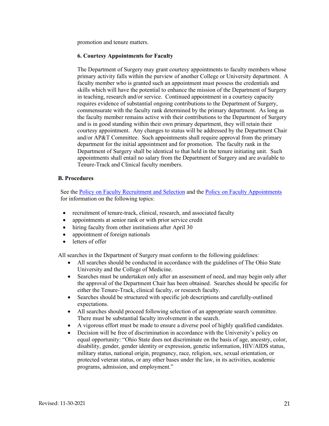promotion and tenure matters.

#### **6. Courtesy Appointments for Faculty**

The Department of Surgery may grant courtesy appointments to faculty members whose primary activity falls within the purview of another College or University department. A faculty member who is granted such an appointment must possess the credentials and skills which will have the potential to enhance the mission of the Department of Surgery in teaching, research and/or service. Continued appointment in a courtesy capacity requires evidence of substantial ongoing contributions to the Department of Surgery, commensurate with the faculty rank determined by the primary department. As long as the faculty member remains active with their contributions to the Department of Surgery and is in good standing within their own primary department, they will retain their courtesy appointment. Any changes to status will be addressed by the Department Chair and/or AP&T Committee. Such appointments shall require approval from the primary department for the initial appointment and for promotion. The faculty rank in the Department of Surgery shall be identical to that held in the tenure initiating unit. Such appointments shall entail no salary from the Department of Surgery and are available to Tenure-Track and Clinical faculty members.

#### **B. Procedures**

See the [Policy on Faculty Recruitment and Selection](https://oaa.osu.edu/sites/default/files/links_files/facultyrecruitment_1.pdf) and the [Policy on Faculty Appointments](https://oaa.osu.edu/assets/files/documents/facultyappointments.pdf) for information on the following topics:

- recruitment of tenure-track, clinical, research, and associated faculty
- appointments at senior rank or with prior service credit
- hiring faculty from other institutions after April 30
- appointment of foreign nationals
- letters of offer

All searches in the Department of Surgery must conform to the following guidelines:

- All searches should be conducted in accordance with the guidelines of The Ohio State University and the College of Medicine.
- Searches must be undertaken only after an assessment of need, and may begin only after the approval of the Department Chair has been obtained. Searches should be specific for either the Tenure-Track, clinical faculty, or research faculty.
- Searches should be structured with specific job descriptions and carefully-outlined expectations.
- All searches should proceed following selection of an appropriate search committee. There must be substantial faculty involvement in the search.
- A vigorous effort must be made to ensure a diverse pool of highly qualified candidates.
- Decision will be free of discrimination in accordance with the University's policy on equal opportunity: "Ohio State does not discriminate on the basis of age, ancestry, color, disability, gender, gender identity or expression, genetic information, HIV/AIDS status, military status, national origin, pregnancy, race, religion, sex, sexual orientation, or protected veteran status, or any other bases under the law, in its activities, academic programs, admission, and employment."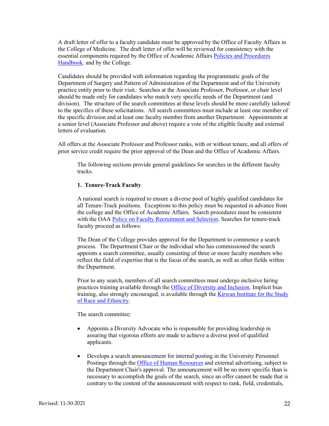A draft letter of offer to a faculty candidate must be approved by the Office of Faculty Affairs in the College of Medicine. The draft letter of offer will be reviewed for consistency with the essential components required by the Office of Academic Affairs [Policies and Procedures](https://oaa.osu.edu/policies-and-procedures-handbook)  [Handbook](https://oaa.osu.edu/policies-and-procedures-handbook)*,* and by the College.

Candidates should be provided with information regarding the programmatic goals of the Department of Surgery and Pattern of Administration of the Department and of the University practice entity prior to their visit. Searches at the Associate Professor, Professor, or chair level should be made only for candidates who match very specific needs of the Department (and division). The structure of the search committees at these levels should be more carefully tailored to the specifics of these solicitations. All search committees must include at least one member of the specific division and at least one faculty member from another Department. Appointments at a senior level (Associate Professor and above) require a vote of the eligible faculty and external letters of evaluation.

All offers at the Associate Professor and Professor ranks, with or without tenure, and all offers of prior service credit require the prior approval of the Dean and the Office of Academic Affairs.

The following sections provide general guidelines for searches in the different faculty tracks.

#### **1. Tenure-Track Faculty**

A national search is required to ensure a diverse pool of highly qualified candidates for all Tenure-Track positions. Exceptions to this policy must be requested in advance from the college and the Office of Academic Affairs. Search procedures must be consistent with the OAA [Policy on Faculty Recruitment and Selection.](https://oaa.osu.edu/assets/files/documents/facultyrecruitment.pdf) Searches for tenure-track faculty proceed as follows:

The Dean of the College provides approval for the Department to commence a search process. The Department Chair or the individual who has commissioned the search appoints a search committee, usually consisting of three or more faculty members who reflect the field of expertise that is the focus of the search, as well as other fields within the Department.

Prior to any search, members of all search committees must undergo inclusive hiring practices training available through the [Office of Diversity and Inclusion.](https://odi.osu.edu/) Implicit bias training, also strongly encouraged, is available through the [Kirwan Institute for the Study](https://kirwaninstitute.osu.edu/)  [of Race and Ethnicity.](https://kirwaninstitute.osu.edu/)

The search committee:

- Appoints a Diversity Advocate who is responsible for providing leadership in assuring that vigorous efforts are made to achieve a diverse pool of qualified applicants.
- Develops a search announcement for internal posting in the University Personnel Postings through the [Office of Human Resources](https://hr.osu.edu/careers/) and external advertising, subject to the Department Chair's approval. The announcement will be no more specific than is necessary to accomplish the goals of the search, since an offer cannot be made that is contrary to the content of the announcement with respect to rank, field, credentials,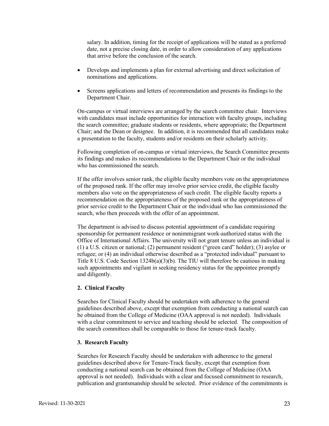salary. In addition, timing for the receipt of applications will be stated as a preferred date, not a precise closing date, in order to allow consideration of any applications that arrive before the conclusion of the search.

- Develops and implements a plan for external advertising and direct solicitation of nominations and applications.
- Screens applications and letters of recommendation and presents its findings to the Department Chair.

On-campus or virtual interviews are arranged by the search committee chair. Interviews with candidates must include opportunities for interaction with faculty groups, including the search committee; graduate students or residents, where appropriate; the Department Chair; and the Dean or designee. In addition, it is recommended that all candidates make a presentation to the faculty, students and/or residents on their scholarly activity.

Following completion of on-campus or virtual interviews, the Search Committee presents its findings and makes its recommendations to the Department Chair or the individual who has commissioned the search.

If the offer involves senior rank, the eligible faculty members vote on the appropriateness of the proposed rank. If the offer may involve prior service credit, the eligible faculty members also vote on the appropriateness of such credit. The eligible faculty reports a recommendation on the appropriateness of the proposed rank or the appropriateness of prior service credit to the Department Chair or the individual who has commissioned the search, who then proceeds with the offer of an appointment.

The department is advised to discuss potential appointment of a candidate requiring sponsorship for permanent residence or nonimmigrant work-authorized status with the Office of International Affairs. The university will not grant tenure unless an individual is (1) a U.S. citizen or national; (2) permanent resident ("green card" holder); (3) asylee or refugee; or (4) an individual otherwise described as a "protected individual" pursuant to Title 8 U.S. Code Section  $1324b(a)(3)(b)$ . The TIU will therefore be cautious in making such appointments and vigilant in seeking residency status for the appointee promptly and diligently.

#### **2. Clinical Faculty**

Searches for Clinical Faculty should be undertaken with adherence to the general guidelines described above, except that exemption from conducting a national search can be obtained from the College of Medicine (OAA approval is not needed). Individuals with a clear commitment to service and teaching should be selected. The composition of the search committees shall be comparable to those for tenure-track faculty.

#### **3. Research Faculty**

Searches for Research Faculty should be undertaken with adherence to the general guidelines described above for Tenure-Track faculty, except that exemption from conducting a national search can be obtained from the College of Medicine (OAA approval is not needed). Individuals with a clear and focused commitment to research, publication and grantsmanship should be selected. Prior evidence of the commitments is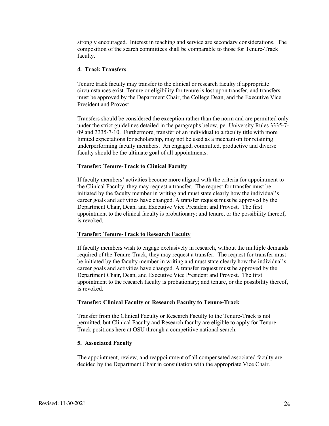strongly encouraged. Interest in teaching and service are secondary considerations. The composition of the search committees shall be comparable to those for Tenure-Track faculty.

#### **4. Track Transfers**

Tenure track faculty may transfer to the clinical or research faculty if appropriate circumstances exist. Tenure or eligibility for tenure is lost upon transfer, and transfers must be approved by the Department Chair, the College Dean, and the Executive Vice President and Provost.

Transfers should be considered the exception rather than the norm and are permitted only under the strict guidelines detailed in the paragraphs below, per University Rules [3335-7-](https://trustees.osu.edu/university-faculty-rules/3335-7) [09](https://trustees.osu.edu/university-faculty-rules/3335-7) and [3335-7-10.](https://trustees.osu.edu/university-faculty-rules/3335-7) Furthermore, transfer of an individual to a faculty title with more limited expectations for scholarship, may not be used as a mechanism for retaining underperforming faculty members. An engaged, committed, productive and diverse faculty should be the ultimate goal of all appointments.

#### **Transfer: Tenure-Track to Clinical Faculty**

If faculty members' activities become more aligned with the criteria for appointment to the Clinical Faculty, they may request a transfer. The request for transfer must be initiated by the faculty member in writing and must state clearly how the individual's career goals and activities have changed. A transfer request must be approved by the Department Chair, Dean, and Executive Vice President and Provost. The first appointment to the clinical faculty is probationary; and tenure, or the possibility thereof, is revoked.

#### **Transfer: Tenure-Track to Research Faculty**

If faculty members wish to engage exclusively in research, without the multiple demands required of the Tenure-Track, they may request a transfer. The request for transfer must be initiated by the faculty member in writing and must state clearly how the individual's career goals and activities have changed. A transfer request must be approved by the Department Chair, Dean, and Executive Vice President and Provost. The first appointment to the research faculty is probationary; and tenure, or the possibility thereof, is revoked.

#### **Transfer: Clinical Faculty or Research Faculty to Tenure-Track**

Transfer from the Clinical Faculty or Research Faculty to the Tenure-Track is not permitted, but Clinical Faculty and Research faculty are eligible to apply for Tenure-Track positions here at OSU through a competitive national search.

# **5. Associated Faculty**

The appointment, review, and reappointment of all compensated associated faculty are decided by the Department Chair in consultation with the appropriate Vice Chair.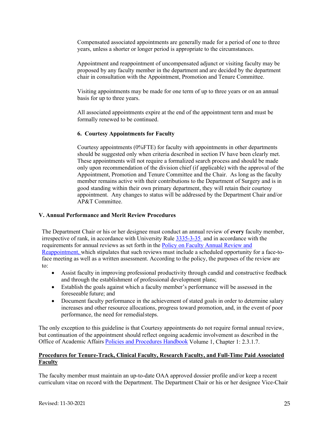Compensated associated appointments are generally made for a period of one to three years, unless a shorter or longer period is appropriate to the circumstances.

Appointment and reappointment of uncompensated adjunct or visiting faculty may be proposed by any faculty member in the department and are decided by the department chair in consultation with the Appointment, Promotion and Tenure Committee.

Visiting appointments may be made for one term of up to three years or on an annual basis for up to three years.

All associated appointments expire at the end of the appointment term and must be formally renewed to be continued.

# **6. Courtesy Appointments for Faculty**

Courtesy appointments (0%FTE) for faculty with appointments in other departments should be suggested only when criteria described in section IV have been clearly met. These appointments will not require a formalized search process and should be made only upon recommendation of the division chief (if applicable) with the approval of the Appointment, Promotion and Tenure Committee and the Chair. As long as the faculty member remains active with their contributions to the Department of Surgery and is in good standing within their own primary department, they will retain their courtesy appointment. Any changes to status will be addressed by the Department Chair and/or AP&T Committee.

# **V. Annual Performance and Merit Review Procedures**

The Department Chair or his or her designee must conduct an annual review of **every** faculty member, irrespective of rank, in accordance with University Rule [3335-3-35](https://trustees.osu.edu/rules/university-rules/chapter-3335-3-administration.html) and in accordance with the requirements for annual reviews as set forth in the [Policy on Faculty Annual Review and](https://oaa.osu.edu/sites/default/files/uploads/policies/Faculty-Annual-Review-and-Reappointment.pdf)  [Reappointment,](https://oaa.osu.edu/sites/default/files/uploads/policies/Faculty-Annual-Review-and-Reappointment.pdf) which stipulates that such reviews must include a scheduled opportunity for a face-toface meeting as well as a written assessment. According to the policy, the purposes of the review are  $t^{\alpha}$ 

- Assist faculty in improving professional productivity through candid and constructive feedback and through the establishment of professional development plans;
- Establish the goals against which a faculty member's performance will be assessed in the foreseeable future; and
- Document faculty performance in the achievement of stated goals in order to determine salary increases and other resource allocations, progress toward promotion, and, in the event of poor performance, the need for remedialsteps.

The only exception to this guideline is that Courtesy appointments do not require formal annual review, but continuation of the appointment should reflect ongoing academic involvement as described in the Office of Academic Affairs [Policies and Procedures Handbook](https://oaa.osu.edu/policies-and-procedures-handbook) Volume 1, Chapter 1: 2.3.1.7.

# **Procedures for Tenure-Track, Clinical Faculty, Research Faculty, and Full-Time Paid Associated Faculty**

The faculty member must maintain an up-to-date OAA approved dossier profile and/or keep a recent curriculum vitae on record with the Department. The Department Chair or his or her designee Vice-Chair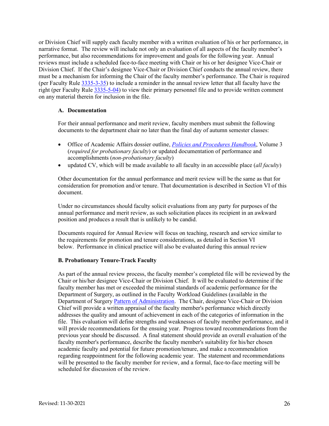or Division Chief will supply each faculty member with a written evaluation of his or her performance, in narrative format. The review will include not only an evaluation of all aspects of the faculty member's performance, but also recommendations for improvement and goals for the following year. Annual reviews must include a scheduled face-to-face meeting with Chair or his or her designee Vice-Chair or Division Chief. If the Chair's designee Vice-Chair or Division Chief conducts the annual review, there must be a mechanism for informing the Chair of the faculty member's performance. The Chair is required (per Faculty Rul[e 3335-3-35\)](https://trustees.osu.edu/bylaws-and-rules/3335-3) to include a reminder in the annual review letter that all faculty have the right (per Faculty Rule [3335-5-04\)](https://trustees.osu.edu/rules/university-rules/chapter-3335-5-faculty-governance-and-committees.html) to view their primary personnel file and to provide written comment on any material therein for inclusion in the file.

#### **A. Documentation**

For their annual performance and merit review, faculty members must submit the following documents to the department chair no later than the final day of autumn semester classes:

- Office of Academic Affairs dossier outline, *[Policies and Procedures Handbook](https://oaa.osu.edu/policies-and-procedures-handbook)*, Volume 3 (*required for probationary faculty*) or updated documentation of performance and accomplishments (*non-probationary faculty*)
- updated CV, which will be made available to all faculty in an accessible place (*all faculty*)

Other documentation for the annual performance and merit review will be the same as that for consideration for promotion and/or tenure. That documentation is described in Section VI of this document.

Under no circumstances should faculty solicit evaluations from any party for purposes of the annual performance and merit review, as such solicitation places its recipient in an awkward position and produces a result that is unlikely to be candid.

Documents required for Annual Review will focus on teaching, research and service similar to the requirements for promotion and tenure considerations, as detailed in Section VI below. Performance in clinical practice will also be evaluated during this annual review

# **B. Probationary Tenure-Track Faculty**

As part of the annual review process, the faculty member's completed file will be reviewed by the Chair or his/her designee Vice-Chair or Division Chief. It will be evaluated to determine if the faculty member has met or exceeded the minimal standards of academic performance for the Department of Surgery, as outlined in the Faculty Workload Guidelines (available in the Department of Surgery [Pattern of Administration.](https://oaa.osu.edu/appointments-reappointments-promotion-and-tenure) The Chair, designee Vice-Chair or Division Chief will provide a written appraisal of the faculty member's performance which directly addresses the quality and amount of achievement in each of the categories of information in the file. This evaluation will define strengths and weaknesses of faculty member performance, and it will provide recommendations for the ensuing year. Progress toward recommendations from the previous year should be discussed. A final statement should provide an overall evaluation of the faculty member's performance, describe the faculty member's suitability for his/her chosen academic faculty and potential for future promotion/tenure, and make a recommendation regarding reappointment for the following academic year. The statement and recommendations will be presented to the faculty member for review, and a formal, face-to-face meeting will be scheduled for discussion of the review.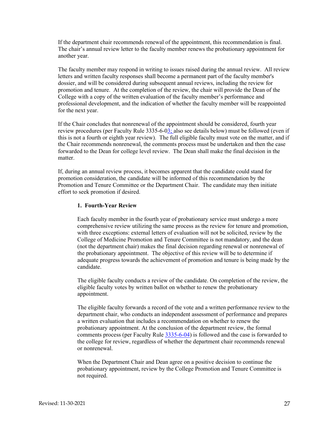If the department chair recommends renewal of the appointment, this recommendation is final. The chair's annual review letter to the faculty member renews the probationary appointment for another year.

The faculty member may respond in writing to issues raised during the annual review. All review letters and written faculty responses shall become a permanent part of the faculty member's dossier, and will be considered during subsequent annual reviews, including the review for promotion and tenure. At the completion of the review, the chair will provide the Dean of the College with a copy of the written evaluation of the faculty member's performance and professional development, and the indication of whether the faculty member will be reappointed for the next year.

If the Chair concludes that nonrenewal of the appointment should be considered, fourth year review procedures (per Faculty Rule 3335-6-03; also see details below) must be followed (even if this is not a fourth or eighth year review). The full eligible faculty must vote on the matter, and if the Chair recommends nonrenewal, the comments process must be undertaken and then the case forwarded to the Dean for college level review. The Dean shall make the final decision in the matter.

If, during an annual review process, it becomes apparent that the candidate could stand for promotion consideration, the candidate will be informed of this recommendation by the Promotion and Tenure Committee or the Department Chair. The candidate may then initiate effort to seek promotion if desired.

# **1. Fourth-Year Review**

Each faculty member in the fourth year of probationary service must undergo a more comprehensive review utilizing the same process as the review for tenure and promotion, with three exceptions: external letters of evaluation will not be solicited, review by the College of Medicine Promotion and Tenure Committee is not mandatory, and the dean (not the department chair) makes the final decision regarding renewal or nonrenewal of the probationary appointment. The objective of this review will be to determine if adequate progress towards the achievement of promotion and tenure is being made by the candidate.

The eligible faculty conducts a review of the candidate. On completion of the review, the eligible faculty votes by written ballot on whether to renew the probationary appointment.

The eligible faculty forwards a record of the vote and a written performance review to the department chair, who conducts an independent assessment of performance and prepares a written evaluation that includes a recommendation on whether to renew the probationary appointment. At the conclusion of the department review, the formal comments process (per Faculty Rule [3335-6-04\)](https://trustees.osu.edu/bylaws-and-rules/3335-6) is followed and the case is forwarded to the college for review, regardless of whether the department chair recommends renewal or nonrenewal.

When the Department Chair and Dean agree on a positive decision to continue the probationary appointment, review by the College Promotion and Tenure Committee is not required.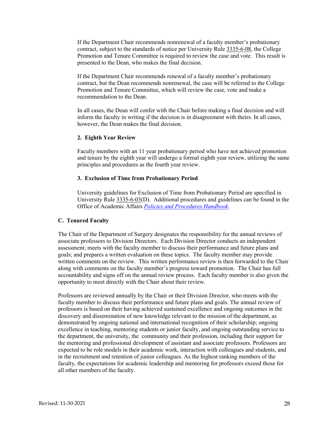If the Department Chair recommends nonrenewal of a faculty member's probationary contract, subject to the standards of notice per University Rule [3335-6-08,](https://trustees.osu.edu/bylaws-and-rules/3335-6) the College Promotion and Tenure Committee is required to review the case and vote. This result is presented to the Dean, who makes the final decision.

If the Department Chair recommends renewal of a faculty member's probationary contract, but the Dean recommends nonrenewal, the case will be referred to the College Promotion and Tenure Committee, which will review the case, vote and make a recommendation to the Dean.

In all cases, the Dean will confer with the Chair before making a final decision and will inform the faculty in writing if the decision is in disagreement with theirs. In all cases, however, the Dean makes the final decision.

#### **2. Eighth Year Review**

Faculty members with an 11 year probationary period who have not achieved promotion and tenure by the eighth year will undergo a formal eighth year review, utilizing the same principles and procedures as the fourth year review.

#### **3. Exclusion of Time from Probationary Period**

University guidelines for Exclusion of Time from Probationary Period are specified in University Rul[e 3335-6-03\(](https://trustees.osu.edu/bylaws-and-rules/3335-6)D). Additional procedures and guidelines can be found in the Office of Academic Affairs *[Policies and Procedures Handbook](https://oaa.osu.edu/policies-and-procedures-handbook)*.

#### **C. Tenured Faculty**

The Chair of the Department of Surgery designates the responsibility for the annual reviews of associate professors to Division Directors. Each Division Director conducts an independent assessment; meets with the faculty member to discuss their performance and future plans and goals; and prepares a written evaluation on these topics. The faculty member may provide written comments on the review. This written performance review is then forwarded to the Chair along with comments on the faculty member's progress toward promotion. The Chair has full accountability and signs off on the annual review process. Each faculty member is also given the opportunity to meet directly with the Chair about their review.

Professors are reviewed annually by the Chair or their Division Director, who meets with the faculty member to discuss their performance and future plans and goals. The annual review of professors is based on their having achieved sustained excellence and ongoing outcomes in the discovery and dissemination of new knowledge relevant to the mission of the department, as demonstrated by ongoing national and international recognition of their scholarship; ongoing excellence in teaching, mentoring students or junior faculty, and ongoing outstanding service to the department, the university, the community and their profession, including their support for the mentoring and professional development of assistant and associate professors. Professors are expected to be role models in their academic work, interaction with colleagues and students, and in the recruitment and retention of junior colleagues. As the highest ranking members of the faculty, the expectations for academic leadership and mentoring for professors exceed those for all other members of the faculty.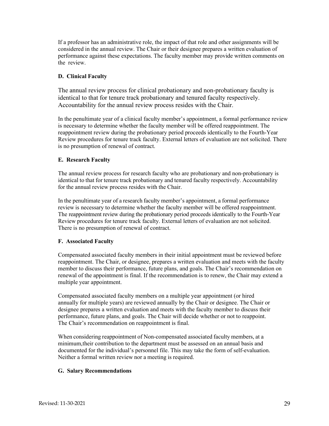If a professor has an administrative role, the impact of that role and other assignments will be considered in the annual review. The Chair or their designee prepares a written evaluation of performance against these expectations. The faculty member may provide written comments on the review.

# **D. Clinical Faculty**

The annual review process for clinical probationary and non-probationary faculty is identical to that for tenure track probationary and tenured faculty respectively. Accountability for the annual review process resides with the Chair.

In the penultimate year of a clinical faculty member's appointment, a formal performance review is necessary to determine whether the faculty member will be offered reappointment. The reappointment review during the probationary period proceeds identically to the Fourth-Year Review procedures for tenure track faculty. External letters of evaluation are not solicited. There is no presumption of renewal of contract.

# **E. Research Faculty**

The annual review process for research faculty who are probationary and non-probationary is identical to that for tenure track probationary and tenured faculty respectively. Accountability for the annual review process resides with the Chair.

In the penultimate year of a research faculty member's appointment, a formal performance review is necessary to determine whether the faculty member will be offered reappointment. The reappointment review during the probationary period proceeds identically to the Fourth-Year Review procedures for tenure track faculty. External letters of evaluation are not solicited. There is no presumption of renewal of contract.

# **F. Associated Faculty**

Compensated associated faculty members in their initial appointment must be reviewed before reappointment. The Chair, or designee, prepares a written evaluation and meets with the faculty member to discuss their performance, future plans, and goals. The Chair's recommendation on renewal of the appointment is final. If the recommendation is to renew, the Chair may extend a multiple year appointment.

Compensated associated faculty members on a multiple year appointment (or hired annually for multiple years) are reviewed annually by the Chair or designee. The Chair or designee prepares a written evaluation and meets with the faculty member to discuss their performance, future plans, and goals. The Chair will decide whether or not to reappoint. The Chair's recommendation on reappointment is final.

When considering reappointment of Non-compensated associated faculty members, at a minimum, their contribution to the department must be assessed on an annual basis and documented for the individual's personnel file. This may take the form of self-evaluation. Neither a formal written review nor a meeting is required.

# **G. Salary Recommendations**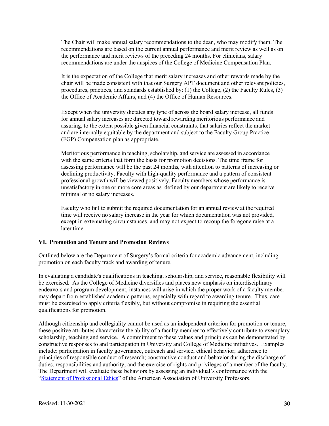The Chair will make annual salary recommendations to the dean, who may modify them. The recommendations are based on the current annual performance and merit review as well as on the performance and merit reviews of the preceding 24 months. For clinicians, salary recommendations are under the auspices of the College of Medicine Compensation Plan.

It is the expectation of the College that merit salary increases and other rewards made by the chair will be made consistent with that our Surgery APT document and other relevant policies, procedures, practices, and standards established by: (1) the College, (2) the Faculty Rules, (3) the Office of Academic Affairs, and (4) the Office of Human Resources.

Except when the university dictates any type of across the board salary increase, all funds for annual salary increases are directed toward rewarding meritorious performance and assuring, to the extent possible given financial constraints, that salaries reflect the market and are internally equitable by the department and subject to the Faculty Group Practice (FGP) Compensation plan as appropriate.

Meritorious performance in teaching, scholarship, and service are assessed in accordance with the same criteria that form the basis for promotion decisions. The time frame for assessing performance will be the past 24 months, with attention to patterns of increasing or declining productivity. Faculty with high-quality performance and a pattern of consistent professional growth will be viewed positively. Faculty members whose performance is unsatisfactory in one or more core areas as defined by our department are likely to receive minimal or no salary increases.

Faculty who fail to submit the required documentation for an annual review at the required time will receive no salary increase in the year for which documentation was not provided, except in extenuating circumstances, and may not expect to recoup the foregone raise at a later time.

# **VI. Promotion and Tenure and Promotion Reviews**

Outlined below are the Department of Surgery's formal criteria for academic advancement, including promotion on each faculty track and awarding of tenure.

In evaluating a candidate's qualifications in teaching, scholarship, and service, reasonable flexibility will be exercised. As the College of Medicine diversifies and places new emphasis on interdisciplinary endeavors and program development, instances will arise in which the proper work of a faculty member may depart from established academic patterns, especially with regard to awarding tenure. Thus, care must be exercised to apply criteria flexibly, but without compromise in requiring the essential qualifications for promotion.

Although citizenship and collegiality cannot be used as an independent criterion for promotion or tenure, these positive attributes characterize the ability of a faculty member to effectively contribute to exemplary scholarship, teaching and service. A commitment to these values and principles can be demonstrated by constructive responses to and participation in University and College of Medicine initiatives. Examples include: participation in faculty governance, outreach and service; ethical behavior; adherence to principles of responsible conduct of research; constructive conduct and behavior during the discharge of duties, responsibilities and authority; and the exercise of rights and privileges of a member of the faculty. The Department will evaluate these behaviors by assessing an individual's conformance with the ["Statement of Professional Ethics"](https://www.aaup.org/report/statement-professional-ethics) of the American Association of University Professors.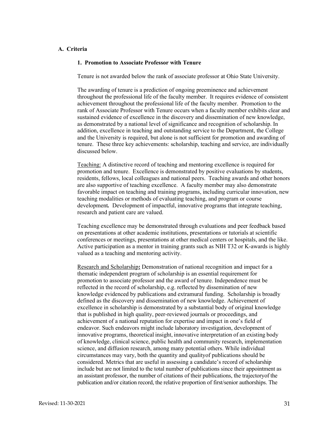# **A. Criteria**

#### **1. Promotion to Associate Professor with Tenure**

Tenure is not awarded below the rank of associate professor at Ohio State University.

The awarding of tenure is a prediction of ongoing preeminence and achievement throughout the professional life of the faculty member. It requires evidence of consistent achievement throughout the professional life of the faculty member. Promotion to the rank of Associate Professor with Tenure occurs when a faculty member exhibits clear and sustained evidence of excellence in the discovery and dissemination of new knowledge, as demonstrated by a national level of significance and recognition of scholarship. In addition, excellence in teaching and outstanding service to the Department, the College and the University is required, but alone is not sufficient for promotion and awarding of tenure. These three key achievements: scholarship, teaching and service, are individually discussed below.

Teaching: A distinctive record of teaching and mentoring excellence is required for promotion and tenure. Excellence is demonstrated by positive evaluations by students, residents, fellows, local colleagues and national peers. Teaching awards and other honors are also supportive of teaching excellence. A faculty member may also demonstrate favorable impact on teaching and training programs, including curricular innovation, new teaching modalities or methods of evaluating teaching, and program or course development*.* Development of impactful, innovative programs that integrate teaching, research and patient care are valued.

Teaching excellence may be demonstrated through evaluations and peer feedback based on presentations at other academic institutions, presentations or tutorials at scientific conferences or meetings, presentations at other medical centers or hospitals, and the like. Active participation as a mentor in training grants such as NIH T32 or K-awards is highly valued as a teaching and mentoring activity.

Research and Scholarship**:** Demonstration of national recognition and impact for a thematic independent program of scholarship is an essential requirement for promotion to associate professor and the award of tenure. Independence must be reflected in the record of scholarship, e.g. reflected by dissemination of new knowledge evidenced by publications and extramural funding. Scholarship is broadly defined as the discovery and dissemination of new knowledge. Achievement of excellence in scholarship is demonstrated by a substantial body of original knowledge that is published in high quality, peer-reviewed journals or proceedings, and achievement of a national reputation for expertise and impact in one's field of endeavor. Such endeavors might include laboratory investigation, development of innovative programs, theoretical insight, innovative interpretation of an existing body of knowledge, clinical science, public health and community research, implementation science, and diffusion research, among many potential others. While individual circumstances may vary, both the quantity and quality of publications should be considered. Metrics that are useful in assessing a candidate's record of scholarship include but are not limited to the total number of publications since their appointment as an assistant professor, the number of citations of their publications, the trajectoryof the publication and/or citation record, the relative proportion of first/senior authorships. The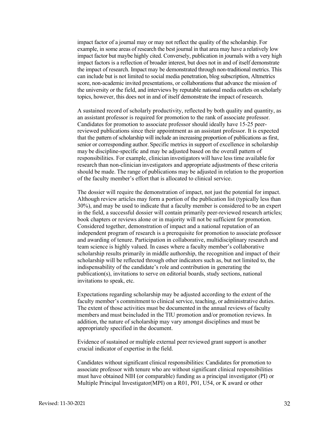impact factor of a journal may or may not reflect the quality of the scholarship. For example, in some areas of research the best journal in that area may have a relatively low impact factor but maybe highly cited. Conversely, publication in journals with a very high impact factors is a reflection of broader interest, but does not in and of itself demonstrate the impact of research. Impact may be demonstrated through non-traditional metrics. This can include but is not limited to social media penetration, blog subscription, Altmetrics score, non-academic invited presentations, or collaborations that advance the mission of the university or the field, and interviews by reputable national media outlets on scholarly topics, however, this does not in and of itself demonstrate the impact of research.

A sustained record of scholarly productivity, reflected by both quality and quantity, as an assistant professor is required for promotion to the rank of associate professor. Candidates for promotion to associate professor should ideally have 15-25 peerreviewed publications since their appointment as an assistant professor. It is expected that the pattern of scholarship will include an increasing proportion of publications as first, senior or corresponding author. Specific metrics in support of excellence in scholarship may be discipline-specific and may be adjusted based on the overall pattern of responsibilities. For example, clinician investigators will have less time available for research than non-clinician investigators and appropriate adjustments of these criteria should be made. The range of publications may be adjusted in relation to the proportion of the faculty member's effort that is allocated to clinical service.

The dossier will require the demonstration of impact, not just the potential for impact. Although review articles may form a portion of the publication list (typically less than 30%), and may be used to indicate that a faculty member is considered to be an expert in the field, a successful dossier will contain primarily peer-reviewed research articles; book chapters or reviews alone or in majority will not be sufficient for promotion. Considered together, demonstration of impact and a national reputation of an independent program of research is a prerequisite for promotion to associate professor and awarding of tenure. Participation in collaborative, multidisciplinary research and team science is highly valued. In cases where a faculty member's collaborative scholarship results primarily in middle authorship, the recognition and impact of their scholarship will be reflected through other indicators such as, but not limited to, the indispensability of the candidate's role and contribution in generating the publication(s), invitations to serve on editorial boards, study sections, national invitations to speak, etc.

Expectations regarding scholarship may be adjusted according to the extent of the faculty member's commitment to clinical service, teaching, or administrative duties. The extent of those activities must be documented in the annual reviews of faculty members and must be included in the TIU promotion and/or promotion reviews. In addition, the nature of scholarship may vary amongst disciplines and must be appropriately specified in the document.

Evidence of sustained or multiple external peer reviewed grant support is another crucial indicator of expertise in the field.

Candidates without significant clinical responsibilities: Candidates for promotion to associate professor with tenure who are without significant clinical responsibilities must have obtained NIH (or comparable) funding as a principal investigator (PI) or Multiple Principal Investigator (MPI) on a R01, P01, U54, or K award or other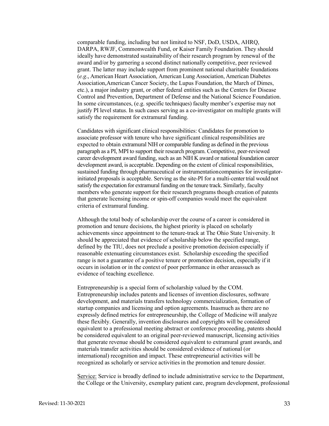comparable funding, including but not limited to NSF, DoD, USDA, AHRQ, DARPA, RWJF, Commonwealth Fund, or Kaiser Family Foundation. They should ideally have demonstrated sustainability of their research program by renewal of the award and/or by garnering a second distinct nationally competitive, peer reviewed grant. The latter may include support from prominent national charitable foundations (*e.g*., American Heart Association, American Lung Association, American Diabetes Association, American Cancer Society, the Lupus Foundation, the March of Dimes, etc.), a major industry grant, or other federal entities such as the Centers for Disease Control and Prevention, Department of Defense and the National Science Foundation. In some circumstances, (e.g. specific techniques) faculty member's expertise may not justify PI level status. In such cases serving as a co-investigator on multiple grants will satisfy the requirement for extramural funding.

Candidates with significant clinical responsibilities: Candidates for promotion to associate professor with tenure who have significant clinical responsibilities are expected to obtain extramural NIH or comparable funding as defined in the previous paragraph as a PI, MPI to support their research program. Competitive, peer-reviewed career development award funding, such as an NIH K award or national foundation career development award, is acceptable. Depending on the extent of clinical responsibilities, sustained funding through pharmaceutical or instrumentation companies for investigatorinitiated proposals is acceptable. Serving as the site-PI for a multi-centertrial would not satisfy the expectation for extramural funding on the tenure track. Similarly, faculty members who generate support for their research programs though creation of patents that generate licensing income or spin-off companies would meet the equivalent criteria of extramural funding.

Although the total body of scholarship over the course of a career is considered in promotion and tenure decisions, the highest priority is placed on scholarly achievements since appointment to the tenure-track at The Ohio State University. It should be appreciated that evidence of scholarship below the specified range, defined by the TIU, does not preclude a positive promotion decision especially if reasonable extenuating circumstances exist. Scholarship exceeding the specified range is not a guarantee of a positive tenure or promotion decision, especially if it occurs in isolation or in the context of poor performance in other areas such as evidence of teaching excellence.

Entrepreneurship is a special form of scholarship valued by the COM. Entrepreneurship includes patents and licenses of invention disclosures, software development, and materials transfers technology commercialization, formation of startup companies and licensing and option agreements. Inasmuch as there are no expressly defined metrics for entrepreneurship, the College of Medicine will analyze these flexibly. Generally, invention disclosures and copyrights will be considered equivalent to a professional meeting abstract or conference proceeding, patents should be considered equivalent to an original peer-reviewed manuscript, licensing activities that generate revenue should be considered equivalent to extramural grant awards, and materials transfer activities should be considered evidence of national (or international) recognition and impact. These entrepreneurial activities will be recognized as scholarly or service activities in the promotion and tenure dossier.

Service: Service is broadly defined to include administrative service to the Department, the College or the University, exemplary patient care, program development, professional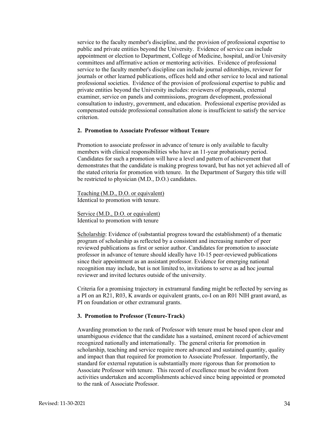service to the faculty member's discipline, and the provision of professional expertise to public and private entities beyond the University. Evidence of service can include appointment or election to Department, College of Medicine, hospital, and/or University committees and affirmative action or mentoring activities. Evidence of professional service to the faculty member's discipline can include journal editorships, reviewer for journals or other learned publications, offices held and other service to local and national professional societies. Evidence of the provision of professional expertise to public and private entities beyond the University includes: reviewers of proposals, external examiner, service on panels and commissions, program development, professional consultation to industry, government, and education. Professional expertise provided as compensated outside professional consultation alone is insufficient to satisfy the service criterion.

#### **2. Promotion to Associate Professor without Tenure**

Promotion to associate professor in advance of tenure is only available to faculty members with clinical responsibilities who have an 11-year probationary period. Candidates for such a promotion will have a level and pattern of achievement that demonstrates that the candidate is making progress toward, but has not yet achieved all of the stated criteria for promotion with tenure. In the Department of Surgery this title will be restricted to physician (M.D., D.O.) candidates.

Teaching (M.D., D.O. or equivalent) Identical to promotion with tenure.

Service (M.D., D.O. or equivalent) Identical to promotion with tenure

Scholarship: Evidence of (substantial progress toward the establishment) of a thematic program of scholarship as reflected by a consistent and increasing number of peer reviewed publications as first or senior author. Candidates for promotion to associate professor in advance of tenure should ideally have 10-15 peer-reviewed publications since their appointment as an assistant professor. Evidence for emerging national recognition may include, but is not limited to, invitations to serve as ad hoc journal reviewer and invited lectures outside of the university.

Criteria for a promising trajectory in extramural funding might be reflected by serving as a PI on an R21, R03, K awards or equivalent grants, co-I on an R01 NIH grant award, as PI on foundation or other extramural grants.

#### **3. Promotion to Professor (Tenure-Track)**

Awarding promotion to the rank of Professor with tenure must be based upon clear and unambiguous evidence that the candidate has a sustained, eminent record of achievement recognized nationally and internationally. The general criteria for promotion in scholarship, teaching and service require more advanced and sustained quantity, quality and impact than that required for promotion to Associate Professor. Importantly, the standard for external reputation is substantially more rigorous than for promotion to Associate Professor with tenure. This record of excellence must be evident from activities undertaken and accomplishments achieved since being appointed or promoted to the rank of Associate Professor.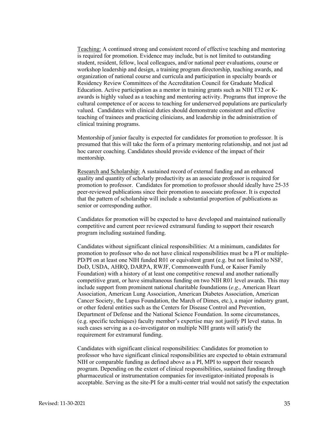Teaching: A continued strong and consistent record of effective teaching and mentoring is required for promotion. Evidence may include, but is not limited to outstanding student, resident, fellow, local colleagues, and/or national peer evaluations, course or workshop leadership and design, a training program directorship, teaching awards, and organization of national course and curricula and participation in specialty boards or Residency Review Committees of the Accreditation Council for Graduate Medical Education. Active participation as a mentor in training grants such as NIH T32 or Kawards is highly valued as a teaching and mentoring activity. Programs that improve the cultural competence of or access to teaching for underserved populations are particularly valued. Candidates with clinical duties should demonstrate consistent and effective teaching of trainees and practicing clinicians, and leadership in the administration of clinical training programs.

Mentorship of junior faculty is expected for candidates for promotion to professor. It is presumed that this will take the form of a primary mentoring relationship, and not just ad hoc career coaching. Candidates should provide evidence of the impact of their mentorship.

Research and Scholarship: A sustained record of external funding and an enhanced quality and quantity of scholarly productivity as an associate professor is required for promotion to professor.Candidates for promotion to professor should ideally have 25-35 peer-reviewed publications since their promotion to associate professor. It is expected that the pattern of scholarship will include a substantial proportion of publications as senior or corresponding author.

Candidates for promotion will be expected to have developed and maintained nationally competitive and current peer reviewed extramural funding to support their research program including sustained funding.

Candidates without significant clinical responsibilities: At a minimum, candidates for promotion to professor who do not have clinical responsibilities must be a PI or multiple-PD/PI on at least one NIH funded R01 or equivalent grant (e.g. but not limited to NSF, DoD, USDA, AHRQ, DARPA, RWJF, Commonwealth Fund, or Kaiser Family Foundation) with a history of at least one competitive renewal and another nationally competitive grant, or have simultaneous funding on two NIH R01 level awards. This may include support from prominent national charitable foundations (*e.g*., American Heart Association, American Lung Association, American Diabetes Association, American Cancer Society, the Lupus Foundation, the March of Dimes, etc.), a major industry grant, or other federal entities such as the Centers for Disease Control and Prevention, Department of Defense and the National Science Foundation. In some circumstances, (e.g. specific techniques) faculty member's expertise may not justify PI level status. In such cases serving as a co-investigator on multiple NIH grants will satisfy the requirement for extramural funding.

Candidates with significant clinical responsibilities: Candidates for promotion to professor who have significant clinical responsibilities are expected to obtain extramural NIH or comparable funding as defined above as a PI, MPI to support their research program. Depending on the extent of clinical responsibilities, sustained funding through pharmaceutical or instrumentation companies for investigator-initiated proposals is acceptable. Serving as the site-PI for a multi-center trial would not satisfy the expectation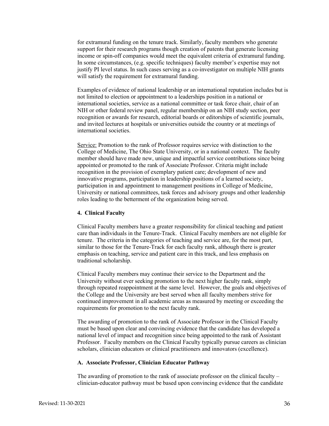for extramural funding on the tenure track. Similarly, faculty members who generate support for their research programs though creation of patents that generate licensing income or spin-off companies would meet the equivalent criteria of extramural funding. In some circumstances, (e.g. specific techniques) faculty member's expertise may not justify PI level status. In such cases serving as a co-investigator on multiple NIH grants will satisfy the requirement for extramural funding.

Examples of evidence of national leadership or an international reputation includes but is not limited to election or appointment to a leaderships position in a national or international societies, service as a national committee or task force chair, chair of an NIH or other federal review panel, regular membership on an NIH study section, peer recognition or awards for research, editorial boards or editorships of scientific journals, and invited lectures at hospitals or universities outside the country or at meetings of international societies.

Service: Promotion to the rank of Professor requires service with distinction to the College of Medicine, The Ohio State University, or in a national context. The faculty member should have made new, unique and impactful service contributions since being appointed or promoted to the rank of Associate Professor. Criteria might include recognition in the provision of exemplary patient care; development of new and innovative programs, participation in leadership positions of a learned society, participation in and appointment to management positions in College of Medicine, University or national committees, task forces and advisory groups and other leadership roles leading to the betterment of the organization being served.

#### **4. Clinical Faculty**

Clinical Faculty members have a greater responsibility for clinical teaching and patient care than individuals in the Tenure-Track. Clinical Faculty members are not eligible for tenure. The criteria in the categories of teaching and service are, for the most part, similar to those for the Tenure-Track for each faculty rank, although there is greater emphasis on teaching, service and patient care in this track, and less emphasis on traditional scholarship.

Clinical Faculty members may continue their service to the Department and the University without ever seeking promotion to the next higher faculty rank, simply through repeated reappointment at the same level. However, the goals and objectives of the College and the University are best served when all faculty members strive for continued improvement in all academic areas as measured by meeting or exceeding the requirements for promotion to the next faculty rank.

The awarding of promotion to the rank of Associate Professor in the Clinical Faculty must be based upon clear and convincing evidence that the candidate has developed a national level of impact and recognition since being appointed to the rank of Assistant Professor. Faculty members on the Clinical Faculty typically pursue careers as clinician scholars, clinician educators or clinical practitioners and innovators (excellence).

#### **A. Associate Professor, Clinician Educator Pathway**

The awarding of promotion to the rank of associate professor on the clinical faculty – clinician-educator pathway must be based upon convincing evidence that the candidate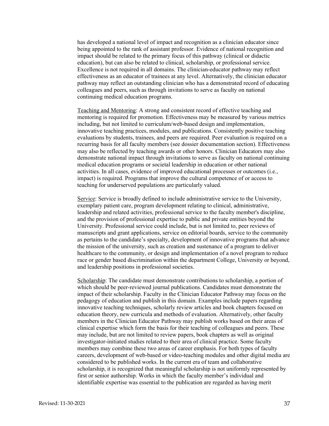has developed a national level of impact and recognition as a clinician educator since being appointed to the rank of assistant professor. Evidence of national recognition and impact should be related to the primary focus of this pathway (clinical or didactic education), but can also be related to clinical, scholarship, or professional service. Excellence is not required in all domains. The clinician-educator pathway may reflect effectiveness as an educator of trainees at any level. Alternatively, the clinician educator pathway may reflect an outstanding clinician who has a demonstrated record of educating colleagues and peers, such as through invitations to serve as faculty on national continuing medical education programs.

Teaching and Mentoring: A strong and consistent record of effective teaching and mentoring is required for promotion. Effectiveness may be measured by various metrics including, but not limited to curriculum/web-based design and implementation, innovative teaching practices, modules, and publications. Consistently positive teaching evaluations by students, trainees, and peers are required. Peer evaluation is required on a recurring basis for all faculty members (see dossier documentation section). Effectiveness may also be reflected by teaching awards or other honors. Clinician Educators may also demonstrate national impact through invitations to serve as faculty on national continuing medical education programs or societal leadership in education or other national activities. In all cases, evidence of improved educational processes or outcomes (i.e., impact) is required. Programs that improve the cultural competence of or access to teaching for underserved populations are particularly valued.

Service: Service is broadly defined to include administrative service to the University, exemplary patient care, program development relating to clinical, administrative, leadership and related activities, professional service to the faculty member's discipline, and the provision of professional expertise to public and private entities beyond the University. Professional service could include, but is not limited to, peer reviews of manuscripts and grant applications, service on editorial boards, service to the community as pertains to the candidate's specialty, development of innovative programs that advance the mission of the university, such as creation and sustenance of a program to deliver healthcare to the community, or design and implementation of a novel program to reduce race or gender based discrimination within the department College, University or beyond, and leadership positions in professional societies.

Scholarship: The candidate must demonstrate contributions to scholarship, a portion of which should be peer-reviewed journal publications. Candidates must demonstrate the impact of their scholarship. Faculty in the Clinician Educator Pathway may focus on the pedagogy of education and publish in this domain. Examples include papers regarding innovative teaching techniques, scholarly review articles and book chapters focused on education theory, new curricula and methods of evaluation. Alternatively, other faculty members in the Clinician Educator Pathway may publish works based on their areas of clinical expertise which form the basis for their teaching of colleagues and peers. These may include, but are not limited to review papers, book chapters as well as original investigator-initiated studies related to their area of clinical practice. Some faculty members may combine these two areas of career emphasis. For both types of faculty careers, development of web-based or video-teaching modules and other digital media are considered to be published works. In the current era of team and collaborative scholarship, it is recognized that meaningful scholarship is not uniformly represented by first or senior authorship. Works in which the faculty member's individual and identifiable expertise was essential to the publication are regarded as having merit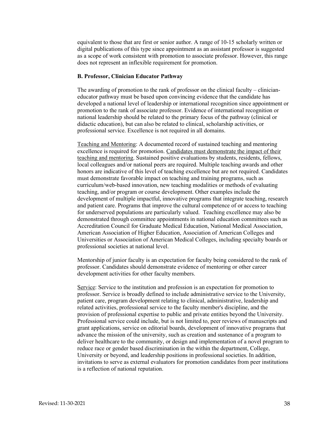equivalent to those that are first or senior author. A range of 10-15 scholarly written or digital publications of this type since appointment as an assistant professor is suggested as a scope of work consistent with promotion to associate professor. However, this range does not represent an inflexible requirement for promotion.

#### **B. Professor, Clinician Educator Pathway**

The awarding of promotion to the rank of professor on the clinical faculty – clinicianeducator pathway must be based upon convincing evidence that the candidate has developed a national level of leadership or international recognition since appointment or promotion to the rank of associate professor. Evidence of international recognition or national leadership should be related to the primary focus of the pathway (clinical or didactic education), but can also be related to clinical, scholarship activities, or professional service. Excellence is not required in all domains.

Teaching and Mentoring: A documented record of sustained teaching and mentoring excellence is required for promotion. Candidates must demonstrate the impact of their teaching and mentoring. Sustained positive evaluations by students, residents, fellows, local colleagues and/or national peers are required. Multiple teaching awards and other honors are indicative of this level of teaching excellence but are not required. Candidates must demonstrate favorable impact on teaching and training programs, such as curriculum/web-based innovation, new teaching modalities or methods of evaluating teaching, and/or program or course development. Other examples include the development of multiple impactful, innovative programs that integrate teaching, research and patient care. Programs that improve the cultural competence of or access to teaching for underserved populations are particularly valued. Teaching excellence may also be demonstrated through committee appointments in national education committees such as Accreditation Council for Graduate Medical Education, National Medical Association, American Association of Higher Education, Association of American Colleges and Universities or Association of American Medical Colleges, including specialty boards or professional societies at national level.

Mentorship of junior faculty is an expectation for faculty being considered to the rank of professor. Candidates should demonstrate evidence of mentoring or other career development activities for other faculty members.

Service: Service to the institution and profession is an expectation for promotion to professor. Service is broadly defined to include administrative service to the University, patient care, program development relating to clinical, administrative, leadership and related activities, professional service to the faculty member's discipline, and the provision of professional expertise to public and private entities beyond the University. Professional service could include, but is not limited to, peer reviews of manuscripts and grant applications, service on editorial boards, development of innovative programs that advance the mission of the university, such as creation and sustenance of a program to deliver healthcare to the community, or design and implementation of a novel program to reduce race or gender based discrimination in the within the department, College, University or beyond, and leadership positions in professional societies. In addition, invitations to serve as external evaluators for promotion candidates from peer institutions is a reflection of national reputation.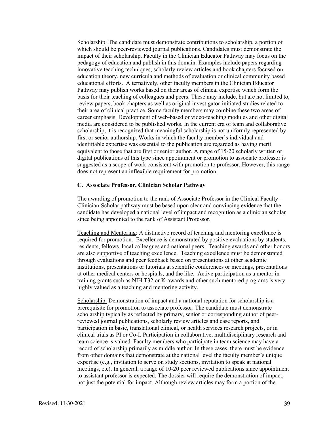Scholarship: The candidate must demonstrate contributions to scholarship, a portion of which should be peer-reviewed journal publications. Candidates must demonstrate the impact of their scholarship. Faculty in the Clinician Educator Pathway may focus on the pedagogy of education and publish in this domain. Examples include papers regarding innovative teaching techniques, scholarly review articles and book chapters focused on education theory, new curricula and methods of evaluation or clinical community based educational efforts. Alternatively, other faculty members in the Clinician Educator Pathway may publish works based on their areas of clinical expertise which form the basis for their teaching of colleagues and peers. These may include, but are not limited to, review papers, book chapters as well as original investigator-initiated studies related to their area of clinical practice. Some faculty members may combine these two areas of career emphasis. Development of web-based or video-teaching modules and other digital media are considered to be published works. In the current era of team and collaborative scholarship, it is recognized that meaningful scholarship is not uniformly represented by first or senior authorship. Works in which the faculty member's individual and identifiable expertise was essential to the publication are regarded as having merit equivalent to those that are first or senior author. A range of 15-20 scholarly written or digital publications of this type since appointment or promotion to associate professor is suggested as a scope of work consistent with promotion to professor. However, this range does not represent an inflexible requirement for promotion.

#### **C. Associate Professor, Clinician Scholar Pathway**

The awarding of promotion to the rank of Associate Professor in the Clinical Faculty – Clinician-Scholar pathway must be based upon clear and convincing evidence that the candidate has developed a national level of impact and recognition as a clinician scholar since being appointed to the rank of Assistant Professor.

Teaching and Mentoring: A distinctive record of teaching and mentoring excellence is required for promotion. Excellence is demonstrated by positive evaluations by students, residents, fellows, local colleagues and national peers. Teaching awards and other honors are also supportive of teaching excellence. Teaching excellence must be demonstrated through evaluations and peer feedback based on presentations at other academic institutions, presentations or tutorials at scientific conferences or meetings, presentations at other medical centers or hospitals, and the like. Active participation as a mentor in training grants such as NIH T32 or K-awards and other such mentored programs is very highly valued as a teaching and mentoring activity.

Scholarship: Demonstration of impact and a national reputation for scholarship is a prerequisite for promotion to associate professor. The candidate must demonstrate scholarship typically as reflected by primary, senior or corresponding author of peerreviewed journal publications, scholarly review articles and case reports, and participation in basic, translational clinical, or health services research projects, or in clinical trials as PI or Co-I. Participation in collaborative, multidisciplinary research and team science is valued. Faculty members who participate in team science may have a record of scholarship primarily as middle author. In these cases, there must be evidence from other domains that demonstrate at the national level the faculty member's unique expertise (e.g., invitation to serve on study sections, invitation to speak at national meetings, etc). In general, a range of 10-20 peer reviewed publications since appointment to assistant professor is expected. The dossier will require the demonstration of impact, not just the potential for impact. Although review articles may form a portion of the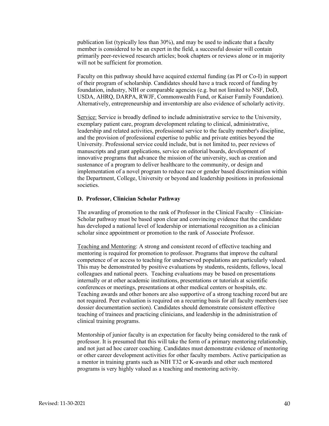publication list (typically less than 30%), and may be used to indicate that a faculty member is considered to be an expert in the field, a successful dossier will contain primarily peer-reviewed research articles; book chapters or reviews alone or in majority will not be sufficient for promotion.

Faculty on this pathway should have acquired external funding (as PI or Co-I) in support of their program of scholarship. Candidates should have a track record of funding by foundation, industry, NIH or comparable agencies (e.g. but not limited to NSF, DoD, USDA, AHRQ, DARPA, RWJF, Commonwealth Fund, or Kaiser Family Foundation). Alternatively, entrepreneurship and inventorship are also evidence of scholarly activity.

Service: Service is broadly defined to include administrative service to the University, exemplary patient care, program development relating to clinical, administrative, leadership and related activities, professional service to the faculty member's discipline, and the provision of professional expertise to public and private entities beyond the University. Professional service could include, but is not limited to, peer reviews of manuscripts and grant applications, service on editorial boards, development of innovative programs that advance the mission of the university, such as creation and sustenance of a program to deliver healthcare to the community, or design and implementation of a novel program to reduce race or gender based discrimination within the Department, College, University or beyond and leadership positions in professional societies.

#### **D. Professor, Clinician Scholar Pathway**

The awarding of promotion to the rank of Professor in the Clinical Faculty – Clinician-Scholar pathway must be based upon clear and convincing evidence that the candidate has developed a national level of leadership or international recognition as a clinician scholar since appointment or promotion to the rank of Associate Professor.

Teaching and Mentoring: A strong and consistent record of effective teaching and mentoring is required for promotion to professor. Programs that improve the cultural competence of or access to teaching for underserved populations are particularly valued. This may be demonstrated by positive evaluations by students, residents, fellows, local colleagues and national peers. Teaching evaluations may be based on presentations internally or at other academic institutions, presentations or tutorials at scientific conferences or meetings, presentations at other medical centers or hospitals, etc. Teaching awards and other honors are also supportive of a strong teaching record but are not required. Peer evaluation is required on a recurring basis for all faculty members (see dossier documentation section). Candidates should demonstrate consistent effective teaching of trainees and practicing clinicians, and leadership in the administration of clinical training programs.

Mentorship of junior faculty is an expectation for faculty being considered to the rank of professor. It is presumed that this will take the form of a primary mentoring relationship, and not just ad hoc career coaching. Candidates must demonstrate evidence of mentoring or other career development activities for other faculty members. Active participation as a mentor in training grants such as NIH T32 or K-awards and other such mentored programs is very highly valued as a teaching and mentoring activity.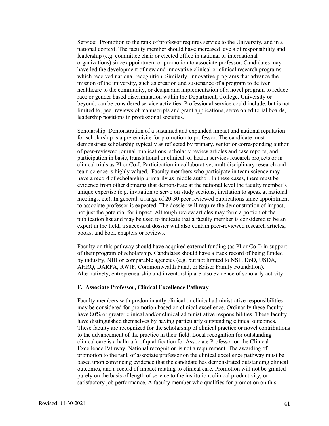Service: Promotion to the rank of professor requires service to the University, and in a national context. The faculty member should have increased levels of responsibility and leadership (e.g. committee chair or elected office in national or international organizations) since appointment or promotion to associate professor. Candidates may have led the development of new and innovative clinical or clinical research programs which received national recognition. Similarly, innovative programs that advance the mission of the university, such as creation and sustenance of a program to deliver healthcare to the community, or design and implementation of a novel program to reduce race or gender based discrimination within the Department, College, University or beyond, can be considered service activities. Professional service could include, but is not limited to, peer reviews of manuscripts and grant applications, serve on editorial boards, leadership positions in professional societies.

Scholarship: Demonstration of a sustained and expanded impact and national reputation for scholarship is a prerequisite for promotion to professor. The candidate must demonstrate scholarship typically as reflected by primary, senior or corresponding author of peer-reviewed journal publications, scholarly review articles and case reports, and participation in basic, translational or clinical, or health services research projects or in clinical trials as PI or Co-I. Participation in collaborative, multidisciplinary research and team science is highly valued. Faculty members who participate in team science may have a record of scholarship primarily as middle author. In these cases, there must be evidence from other domains that demonstrate at the national level the faculty member's unique expertise (e.g. invitation to serve on study sections, invitation to speak at national meetings, etc). In general, a range of 20-30 peer reviewed publications since appointment to associate professor is expected. The dossier will require the demonstration of impact, not just the potential for impact. Although review articles may form a portion of the publication list and may be used to indicate that a faculty member is considered to be an expert in the field, a successful dossier will also contain peer-reviewed research articles, books, and book chapters or reviews.

Faculty on this pathway should have acquired external funding (as PI or Co-I) in support of their program of scholarship. Candidates should have a track record of being funded by industry, NIH or comparable agencies (e.g. but not limited to NSF, DoD, USDA, AHRQ, DARPA, RWJF, Commonwealth Fund, or Kaiser Family Foundation). Alternatively, entrepreneurship and inventorship are also evidence of scholarly activity.

# **F. Associate Professor, Clinical Excellence Pathway**

Faculty members with predominantly clinical or clinical administrative responsibilities may be considered for promotion based on clinical excellence. Ordinarily these faculty have 80% or greater clinical and/or clinical administrative responsibilities. These faculty have distinguished themselves by having particularly outstanding clinical outcomes. These faculty are recognized for the scholarship of clinical practice or novel contributions to the advancement of the practice in their field. Local recognition for outstanding clinical care is a hallmark of qualification for Associate Professor on the Clinical Excellence Pathway. National recognition is not a requirement. The awarding of promotion to the rank of associate professor on the clinical excellence pathway must be based upon convincing evidence that the candidate has demonstrated outstanding clinical outcomes, and a record of impact relating to clinical care. Promotion will not be granted purely on the basis of length of service to the institution, clinical productivity, or satisfactory job performance. A faculty member who qualifies for promotion on this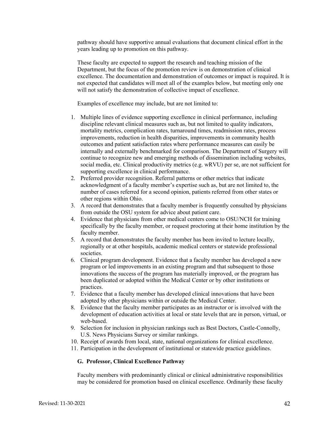pathway should have supportive annual evaluations that document clinical effort in the years leading up to promotion on this pathway.

These faculty are expected to support the research and teaching mission of the Department, but the focus of the promotion review is on demonstration of clinical excellence. The documentation and demonstration of outcomes or impact is required. It is not expected that candidates will meet all of the examples below, but meeting only one will not satisfy the demonstration of collective impact of excellence.

Examples of excellence may include, but are not limited to:

- 1. Multiple lines of evidence supporting excellence in clinical performance, including discipline relevant clinical measures such as, but not limited to quality indicators, mortality metrics, complication rates, turnaround times, readmission rates, process improvements, reduction in health disparities, improvements in community health outcomes and patient satisfaction rates where performance measures can easily be internally and externally benchmarked for comparison. The Department of Surgery will continue to recognize new and emerging methods of dissemination including websites, social media, etc. Clinical productivity metrics (e.g. wRVU) per se, are not sufficient for supporting excellence in clinical performance.
- 2. Preferred provider recognition. Referral patterns or other metrics that indicate acknowledgment of a faculty member's expertise such as, but are not limited to, the number of cases referred for a second opinion, patients referred from other states or other regions within Ohio.
- 3. A record that demonstrates that a faculty member is frequently consulted by physicians from outside the OSU system for advice about patient care.
- 4. Evidence that physicians from other medical centers come to OSU/NCH for training specifically by the faculty member, or request proctoring at their home institution by the faculty member.
- 5. A record that demonstrates the faculty member has been invited to lecture locally, regionally or at other hospitals, academic medical centers or statewide professional societies.
- 6. Clinical program development. Evidence that a faculty member has developed a new program or led improvements in an existing program and that subsequent to those innovations the success of the program has materially improved, or the program has been duplicated or adopted within the Medical Center or by other institutions or practices.
- 7. Evidence that a faculty member has developed clinical innovations that have been adopted by other physicians within or outside the Medical Center.
- 8. Evidence that the faculty member participates as an instructor or is involved with the development of education activities at local or state levels that are in person, virtual, or web-based.
- 9. Selection for inclusion in physician rankings such as Best Doctors, Castle-Connolly, U.S. News Physicians Survey or similar rankings.
- 10. Receipt of awards from local, state, national organizations for clinical excellence.
- 11. Participation in the development of institutional or statewide practice guidelines.

# **G. Professor, Clinical Excellence Pathway**

Faculty members with predominantly clinical or clinical administrative responsibilities may be considered for promotion based on clinical excellence. Ordinarily these faculty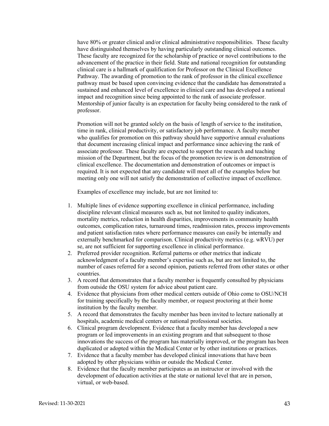have 80% or greater clinical and/or clinical administrative responsibilities. These faculty have distinguished themselves by having particularly outstanding clinical outcomes. These faculty are recognized for the scholarship of practice or novel contributions to the advancement of the practice in their field. State and national recognition for outstanding clinical care is a hallmark of qualification for Professor on the Clinical Excellence Pathway. The awarding of promotion to the rank of professor in the clinical excellence pathway must be based upon convincing evidence that the candidate has demonstrated a sustained and enhanced level of excellence in clinical care and has developed a national impact and recognition since being appointed to the rank of associate professor. Mentorship of junior faculty is an expectation for faculty being considered to the rank of professor.

Promotion will not be granted solely on the basis of length of service to the institution, time in rank, clinical productivity, or satisfactory job performance. A faculty member who qualifies for promotion on this pathway should have supportive annual evaluations that document increasing clinical impact and performance since achieving the rank of associate professor. These faculty are expected to support the research and teaching mission of the Department, but the focus of the promotion review is on demonstration of clinical excellence. The documentation and demonstration of outcomes or impact is required. It is not expected that any candidate will meet all of the examples below but meeting only one will not satisfy the demonstration of collective impact of excellence.

Examples of excellence may include, but are not limited to:

- 1. Multiple lines of evidence supporting excellence in clinical performance, including discipline relevant clinical measures such as, but not limited to quality indicators, mortality metrics, reduction in health disparities, improvements in community health outcomes, complication rates, turnaround times, readmission rates, process improvements and patient satisfaction rates where performance measures can easily be internally and externally benchmarked for comparison. Clinical productivity metrics (e.g. wRVU) per se, are not sufficient for supporting excellence in clinical performance.
- 2. Preferred provider recognition. Referral patterns or other metrics that indicate acknowledgment of a faculty member's expertise such as, but are not limited to, the number of cases referred for a second opinion, patients referred from other states or other countries.
- 3. A record that demonstrates that a faculty member is frequently consulted by physicians from outside the OSU system for advice about patient care.
- 4. Evidence that physicians from other medical centers outside of Ohio come to OSU/NCH for training specifically by the faculty member, or request proctoring at their home institution by the faculty member.
- 5. A record that demonstrates the faculty member has been invited to lecture nationally at hospitals, academic medical centers or national professional societies.
- 6. Clinical program development. Evidence that a faculty member has developed a new program or led improvements in an existing program and that subsequent to those innovations the success of the program has materially improved, or the program has been duplicated or adopted within the Medical Center or by other institutions or practices.
- 7. Evidence that a faculty member has developed clinical innovations that have been adopted by other physicians within or outside the Medical Center.
- 8. Evidence that the faculty member participates as an instructor or involved with the development of education activities at the state or national level that are in person, virtual, or web-based.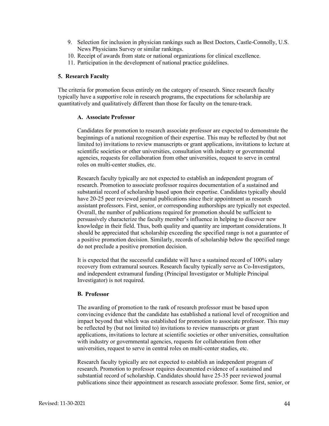- 9. Selection for inclusion in physician rankings such as Best Doctors, Castle-Connolly, U.S. News Physicians Survey or similar rankings.
- 10. Receipt of awards from state or national organizations for clinical excellence.
- 11. Participation in the development of national practice guidelines.

#### **5. Research Faculty**

The criteria for promotion focus entirely on the category of research. Since research faculty typically have a supportive role in research programs, the expectations for scholarship are quantitatively and qualitatively different than those for faculty on the tenure-track.

# **A. Associate Professor**

Candidates for promotion to research associate professor are expected to demonstrate the beginnings of a national recognition of their expertise. This may be reflected by (but not limited to) invitations to review manuscripts or grant applications, invitations to lecture at scientific societies or other universities, consultation with industry or governmental agencies, requests for collaboration from other universities, request to serve in central roles on multi-center studies, etc.

Research faculty typically are not expected to establish an independent program of research. Promotion to associate professor requires documentation of a sustained and substantial record of scholarship based upon their expertise. Candidates typically should have 20-25 peer reviewed journal publications since their appointment as research assistant professors. First, senior, or corresponding authorships are typically not expected. Overall, the number of publications required for promotion should be sufficient to persuasively characterize the faculty member's influence in helping to discover new knowledge in their field. Thus, both quality and quantity are important considerations. It should be appreciated that scholarship exceeding the specified range is not a guarantee of a positive promotion decision. Similarly, records of scholarship below the specified range do not preclude a positive promotion decision.

It is expected that the successful candidate will have a sustained record of 100% salary recovery from extramural sources. Research faculty typically serve as Co-Investigators, and independent extramural funding (Principal Investigator or Multiple Principal Investigator) is not required.

# **B. Professor**

The awarding of promotion to the rank of research professor must be based upon convincing evidence that the candidate has established a national level of recognition and impact beyond that which was established for promotion to associate professor. This may be reflected by (but not limited to) invitations to review manuscripts or grant applications, invitations to lecture at scientific societies or other universities, consultation with industry or governmental agencies, requests for collaboration from other universities, request to serve in central roles on multi-center studies, etc.

Research faculty typically are not expected to establish an independent program of research. Promotion to professor requires documented evidence of a sustained and substantial record of scholarship. Candidates should have 25-35 peer reviewed journal publications since their appointment as research associate professor. Some first, senior, or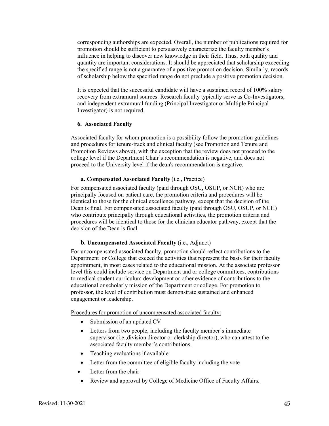corresponding authorships are expected. Overall, the number of publications required for promotion should be sufficient to persuasively characterize the faculty member's influence in helping to discover new knowledge in their field. Thus, both quality and quantity are important considerations. It should be appreciated that scholarship exceeding the specified range is not a guarantee of a positive promotion decision. Similarly, records of scholarship below the specified range do not preclude a positive promotion decision.

It is expected that the successful candidate will have a sustained record of 100% salary recovery from extramural sources. Research faculty typically serve as Co-Investigators, and independent extramural funding (Principal Investigator or Multiple Principal Investigator) is not required.

#### **6. Associated Faculty**

Associated faculty for whom promotion is a possibility follow the promotion guidelines and procedures for tenure-track and clinical faculty (see Promotion and Tenure and Promotion Reviews above), with the exception that the review does not proceed to the college level if the Department Chair's recommendation is negative, and does not proceed to the University level if the dean's recommendation is negative.

# **a. Compensated Associated Faculty** (i.e., Practice)

For compensated associated faculty (paid through OSU, OSUP, or NCH) who are principally focused on patient care, the promotion criteria and procedures will be identical to those for the clinical excellence pathway, except that the decision of the Dean is final. For compensated associated faculty (paid through OSU, OSUP, or NCH) who contribute principally through educational activities, the promotion criteria and procedures will be identical to those for the clinician educator pathway, except that the decision of the Dean is final.

# **b. Uncompensated Associated Faculty** (i.e., Adjunct)

For uncompensated associated faculty, promotion should reflect contributions to the Department or College that exceed the activities that represent the basis for their faculty appointment, in most cases related to the educational mission. At the associate professor level this could include service on Department and or college committees, contributions to medical student curriculum development or other evidence of contributions to the educational or scholarly mission of the Department or college. For promotion to professor, the level of contribution must demonstrate sustained and enhanced engagement or leadership.

Procedures for promotion of uncompensated associated faculty:

- Submission of an updated CV
- Letters from two people, including the faculty member's immediate supervisor (i.e.,division director or clerkship director), who can attest to the associated faculty member's contributions.
- Teaching evaluations if available
- Letter from the committee of eligible faculty including the vote
- Letter from the chair
- Review and approval by College of Medicine Office of Faculty Affairs.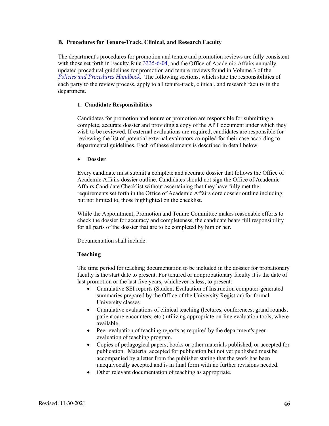#### **B. Procedures for Tenure-Track, Clinical, and Research Faculty**

The department's procedures for promotion and tenure and promotion reviews are fully consistent with those set forth in Faculty Rule [3335-6-04,](https://trustees.osu.edu/rules/university-rules/chapter-3335-6-rules-of-the-university-faculty-concerning-faculty-appointments-reappointments-promotion-and-tenure.html) and the Office of Academic Affairs annually updated procedural guidelines for promotion and tenure reviews found in Volume 3 of the *[Policies and Procedures Handbook](https://oaa.osu.edu/policies-and-procedures-handbook)*. The following sections, which state the responsibilities of each party to the review process, apply to all tenure-track, clinical, and research faculty in the department.

#### **1. Candidate Responsibilities**

Candidates for promotion and tenure or promotion are responsible for submitting a complete, accurate dossier and providing a copy of the APT document under which they wish to be reviewed. If external evaluations are required, candidates are responsible for reviewing the list of potential external evaluators compiled for their case according to departmental guidelines. Each of these elements is described in detail below.

#### • **Dossier**

Every candidate must submit a complete and accurate dossier that follows the Office of Academic Affairs dossier outline. Candidates should not sign the Office of Academic Affairs Candidate Checklist without ascertaining that they have fully met the requirements set forth in the Office of Academic Affairs core dossier outline including, but not limited to, those highlighted on the checklist.

While the Appointment, Promotion and Tenure Committee makes reasonable efforts to check the dossier for accuracy and completeness, the candidate bears full responsibility for all parts of the dossier that are to be completed by him or her.

Documentation shall include:

# **Teaching**

The time period for teaching documentation to be included in the dossier for probationary faculty is the start date to present. For tenured or nonprobationary faculty it is the date of last promotion or the last five years, whichever is less, to present:

- Cumulative SEI reports (Student Evaluation of Instruction computer-generated summaries prepared by the Office of the University Registrar) for formal University classes.
- Cumulative evaluations of clinical teaching (lectures, conferences, grand rounds, patient care encounters, etc.) utilizing appropriate on-line evaluation tools, where available.
- Peer evaluation of teaching reports as required by the department's peer evaluation of teaching program.
- Copies of pedagogical papers, books or other materials published, or accepted for publication. Material accepted for publication but not yet published must be accompanied by a letter from the publisher stating that the work has been unequivocally accepted and is in final form with no further revisions needed.
- Other relevant documentation of teaching as appropriate.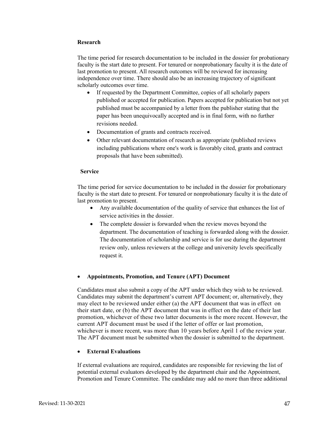# **Research**

The time period for research documentation to be included in the dossier for probationary faculty is the start date to present. For tenured or nonprobationary faculty it is the date of last promotion to present. All research outcomes will be reviewed for increasing independence over time. There should also be an increasing trajectory of significant scholarly outcomes over time.

- If requested by the Department Committee, copies of all scholarly papers published or accepted for publication. Papers accepted for publication but not yet published must be accompanied by a letter from the publisher stating that the paper has been unequivocally accepted and is in final form, with no further revisions needed.
- Documentation of grants and contracts received.
- Other relevant documentation of research as appropriate (published reviews including publications where one's work is favorably cited, grants and contract proposals that have been submitted).

#### **Service**

The time period for service documentation to be included in the dossier for probationary faculty is the start date to present. For tenured or nonprobationary faculty it is the date of last promotion to present.

- Any available documentation of the quality of service that enhances the list of service activities in the dossier.
- The complete dossier is forwarded when the review moves beyond the department. The documentation of teaching is forwarded along with the dossier. The documentation of scholarship and service is for use during the department review only, unless reviewers at the college and university levels specifically request it.

# • **Appointments, Promotion, and Tenure (APT) Document**

Candidates must also submit a copy of the APT under which they wish to be reviewed. Candidates may submit the department's current APT document; or, alternatively, they may elect to be reviewed under either (a) the APT document that was in effect on their start date, or (b) the APT document that was in effect on the date of their last promotion, whichever of these two latter documents is the more recent. However, the current APT document must be used if the letter of offer or last promotion, whichever is more recent, was more than 10 years before April 1 of the review year. The APT document must be submitted when the dossier is submitted to the department.

# • **External Evaluations**

If external evaluations are required, candidates are responsible for reviewing the list of potential external evaluators developed by the department chair and the Appointment, Promotion and Tenure Committee. The candidate may add no more than three additional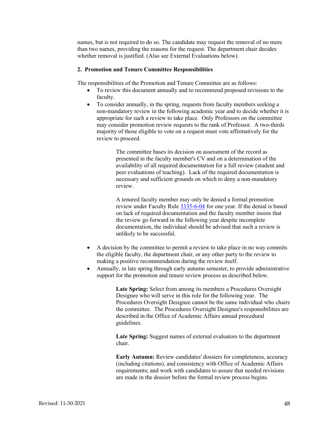names, but is not required to do so. The candidate may request the removal of no more than two names, providing the reasons for the request. The department chair decides whether removal is justified. (Also see External Evaluations below).

# **2. Promotion and Tenure Committee Responsibilities**

The responsibilities of the Promotion and Tenure Committee are as follows:

- To review this document annually and to recommend proposed revisions to the faculty.
- To consider annually, in the spring, requests from faculty members seeking a non-mandatory review in the following academic year and to decide whether it is appropriate for such a review to take place. Only Professors on the committee may consider promotion review requests to the rank of Professor. A two-thirds majority of those eligible to vote on a request must vote affirmatively for the review to proceed.

The committee bases its decision on assessment of the record as presented in the faculty member's CV and on a determination of the availability of all required documentation for a full review (student and peer evaluations of teaching). Lack of the required documentation is necessary and sufficient grounds on which to deny a non-mandatory review.

A tenured faculty member may only be denied a formal promotion review under Faculty Rul[e 3335-6-04](https://trustees.osu.edu/rules/university-rules/chapter-3335-6-rules-of-the-university-faculty-concerning-faculty-appointments-reappointments-promotion-and-tenure.html) for one year. If the denial is based on lack of required documentation and the faculty member insists that the review go forward in the following year despite incomplete documentation, the individual should be advised that such a review is unlikely to be successful.

- A decision by the committee to permit a review to take place in no way commits the eligible faculty, the department chair, or any other party to the review to making a positive recommendation during the review itself.
- Annually, in late spring through early autumn semester, to provide administrative support for the promotion and tenure review process as described below.

**Late Spring:** Select from among its members a Procedures Oversight Designee who will serve in this role for the following year. The Procedures Oversight Designee cannot be the same individual who chairs the committee. The Procedures Oversight Designee's responsibilities are described in the Office of Academic Affairs annual procedural guidelines.

**Late Spring:** Suggest names of external evaluators to the department chair.

**Early Autumn:** Review candidates' dossiers for completeness, accuracy (including citations), and consistency with Office of Academic Affairs requirements; and work with candidates to assure that needed revisions are made in the dossier before the formal review process begins.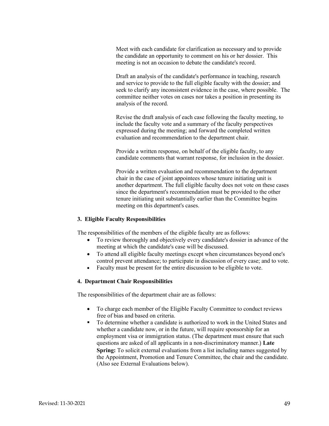Meet with each candidate for clarification as necessary and to provide the candidate an opportunity to comment on his or her dossier. This meeting is not an occasion to debate the candidate's record.

Draft an analysis of the candidate's performance in teaching, research and service to provide to the full eligible faculty with the dossier; and seek to clarify any inconsistent evidence in the case, where possible. The committee neither votes on cases nor takes a position in presenting its analysis of the record.

Revise the draft analysis of each case following the faculty meeting, to include the faculty vote and a summary of the faculty perspectives expressed during the meeting; and forward the completed written evaluation and recommendation to the department chair.

Provide a written response, on behalf of the eligible faculty, to any candidate comments that warrant response, for inclusion in the dossier.

Provide a written evaluation and recommendation to the department chair in the case of joint appointees whose tenure initiating unit is another department. The full eligible faculty does not vote on these cases since the department's recommendation must be provided to the other tenure initiating unit substantially earlier than the Committee begins meeting on this department's cases.

# **3. Eligible Faculty Responsibilities**

The responsibilities of the members of the eligible faculty are as follows:

- To review thoroughly and objectively every candidate's dossier in advance of the meeting at which the candidate's case will be discussed.
- To attend all eligible faculty meetings except when circumstances beyond one's control prevent attendance; to participate in discussion of every case; and to vote.
- Faculty must be present for the entire discussion to be eligible to vote.

#### **4. Department Chair Responsibilities**

The responsibilities of the department chair are as follows:

- To charge each member of the Eligible Faculty Committee to conduct reviews free of bias and based on criteria.
- To determine whether a candidate is authorized to work in the United States and whether a candidate now, or in the future, will require sponsorship for an employment visa or immigration status. (The department must ensure that such questions are asked of all applicants in a non-discriminatory manner.) **Late Spring:** To solicit external evaluations from a list including names suggested by the Appointment, Promotion and Tenure Committee, the chair and the candidate. (Also see External Evaluations below).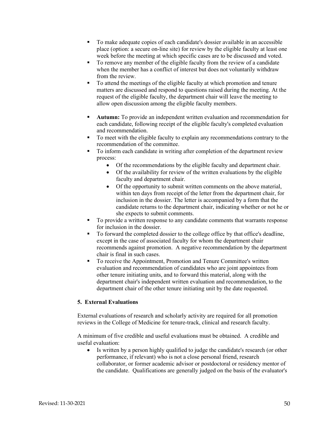- To make adequate copies of each candidate's dossier available in an accessible place (option: a secure on-line site) for review by the eligible faculty at least one week before the meeting at which specific cases are to be discussed and voted.
- To remove any member of the eligible faculty from the review of a candidate when the member has a conflict of interest but does not voluntarily withdraw from the review.
- To attend the meetings of the eligible faculty at which promotion and tenure matters are discussed and respond to questions raised during the meeting. At the request of the eligible faculty, the department chair will leave the meeting to allow open discussion among the eligible faculty members.
- **Autumn:** To provide an independent written evaluation and recommendation for each candidate, following receipt of the eligible faculty's completed evaluation and recommendation.
- To meet with the eligible faculty to explain any recommendations contrary to the recommendation of the committee.
- To inform each candidate in writing after completion of the department review process:
	- Of the recommendations by the eligible faculty and department chair.
	- Of the availability for review of the written evaluations by the eligible faculty and department chair.
	- Of the opportunity to submit written comments on the above material, within ten days from receipt of the letter from the department chair, for inclusion in the dossier. The letter is accompanied by a form that the candidate returns to the department chair, indicating whether or not he or she expects to submit comments.
- To provide a written response to any candidate comments that warrants response for inclusion in the dossier.
- To forward the completed dossier to the college office by that office's deadline, except in the case of associated faculty for whom the department chair recommends against promotion. A negative recommendation by the department chair is final in such cases.
- To receive the Appointment, Promotion and Tenure Committee's written evaluation and recommendation of candidates who are joint appointees from other tenure initiating units, and to forward this material, along with the department chair's independent written evaluation and recommendation, to the department chair of the other tenure initiating unit by the date requested.

# **5. External Evaluations**

External evaluations of research and scholarly activity are required for all promotion reviews in the College of Medicine for tenure-track, clinical and research faculty.

A minimum of five credible and useful evaluations must be obtained. A credible and useful evaluation:

• Is written by a person highly qualified to judge the candidate's research (or other performance, if relevant) who is not a close personal friend, research collaborator, or former academic advisor or postdoctoral or residency mentor of the candidate. Qualifications are generally judged on the basis of the evaluator's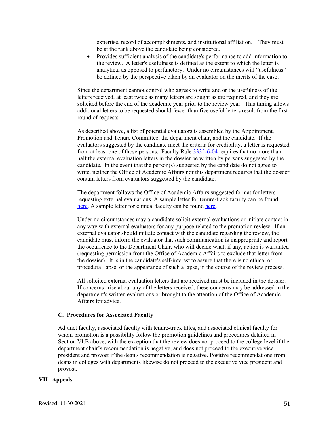expertise, record of accomplishments, and institutional affiliation. They must be at the rank above the candidate being considered.

• Provides sufficient analysis of the candidate's performance to add information to the review. A letter's usefulness is defined as the extent to which the letter is analytical as opposed to perfunctory. Under no circumstances will "usefulness" be defined by the perspective taken by an evaluator on the merits of the case.

Since the department cannot control who agrees to write and or the usefulness of the letters received, at least twice as many letters are sought as are required, and they are solicited before the end of the academic year prior to the review year. This timing allows additional letters to be requested should fewer than five useful letters result from the first round of requests.

As described above, a list of potential evaluators is assembled by the Appointment, Promotion and Tenure Committee, the department chair, and the candidate. If the evaluators suggested by the candidate meet the criteria for credibility, a letter is requested from at least one of those persons. Faculty Rule [3335-6-04](https://trustees.osu.edu/rules/university-rules/chapter-3335-6-rules-of-the-university-faculty-concerning-faculty-appointments-reappointments-promotion-and-tenure.html) requires that no more than half the external evaluation letters in the dossier be written by persons suggested by the candidate. In the event that the person(s) suggested by the candidate do not agree to write, neither the Office of Academic Affairs nor this department requires that the dossier contain letters from evaluators suggested by the candidate.

The department follows the Office of Academic Affairs suggested format for letters requesting external evaluations. A sample letter for tenure-track faculty can be found [here.](https://oaa.osu.edu/assets/files/documents/Letter201.pdf) A sample letter for clinical faculty can be found [here.](https://oaa.osu.edu/sites/default/files/uploads/handbooks/policies-and-procedures/samples/letters/Letter203.docx)

Under no circumstances may a candidate solicit external evaluations or initiate contact in any way with external evaluators for any purpose related to the promotion review. If an external evaluator should initiate contact with the candidate regarding the review, the candidate must inform the evaluator that such communication is inappropriate and report the occurrence to the Department Chair, who will decide what, if any, action is warranted (requesting permission from the Office of Academic Affairs to exclude that letter from the dossier). It is in the candidate's self-interest to assure that there is no ethical or procedural lapse, or the appearance of such a lapse, in the course of the review process.

All solicited external evaluation letters that are received must be included in the dossier. If concerns arise about any of the letters received, these concerns may be addressed in the department's written evaluations or brought to the attention of the Office of Academic Affairs for advice.

#### **C. Procedures for Associated Faculty**

Adjunct faculty, associated faculty with tenure-track titles, and associated clinical faculty for whom promotion is a possibility follow the promotion guidelines and procedures detailed in Section VI.B above, with the exception that the review does not proceed to the college level if the department chair's recommendation is negative, and does not proceed to the executive vice president and provost if the dean's recommendation is negative. Positive recommendations from deans in colleges with departments likewise do not proceed to the executive vice president and provost.

#### **VII. Appeals**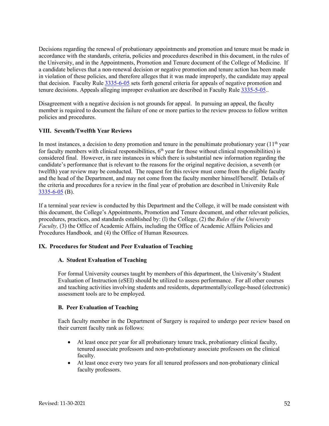Decisions regarding the renewal of probationary appointments and promotion and tenure must be made in accordance with the standards, criteria, policies and procedures described in this document, in the rules of the University, and in the Appointments, Promotion and Tenure document of the College of Medicine. If a candidate believes that a non-renewal decision or negative promotion and tenure action has been made in violation of these policies, and therefore alleges that it was made improperly, the candidate may appeal that decision. Faculty Rule [3335-6-05](https://trustees.osu.edu/rules/university-rules/chapter-3335-6-rules-of-the-university-faculty-concerning-faculty-appointments-reappointments-promotion-and-tenure.html) sets forth general criteria for appeals of negative promotion and tenure decisions. Appeals alleging improper evaluation are described in Faculty Rule [3335-5-05.](https://trustees.osu.edu/rules/university-rules/chapter-3335-5-faculty-governance-and-committees.html).

Disagreement with a negative decision is not grounds for appeal. In pursuing an appeal, the faculty member is required to document the failure of one or more parties to the review process to follow written policies and procedures.

# **VIII. Seventh/Twelfth Year Reviews**

In most instances, a decision to deny promotion and tenure in the penultimate probationary year  $(11<sup>th</sup>$  year for faculty members with clinical responsibilities,  $6<sup>th</sup>$  year for those without clinical responsibilities) is considered final. However, in rare instances in which there is substantial new information regarding the candidate's performance that is relevant to the reasons for the original negative decision, a seventh (or twelfth) year review may be conducted. The request for this review must come from the eligible faculty and the head of the Department, and may not come from the faculty member himself/herself. Details of the criteria and procedures for a review in the final year of probation are described in University Rule  $3335 - 6 - 05$  (B).

If a terminal year review is conducted by this Department and the College, it will be made consistent with this document, the College's Appointments, Promotion and Tenure document, and other relevant policies, procedures, practices, and standards established by: (l) the College, (2) the *Rules of the University Faculty,* (3) the Office of Academic Affairs, including the Office of Academic Affairs Policies and Procedures Handbook*,* and (4) the Office of Human Resources.

# **IX. Procedures for Student and Peer Evaluation of Teaching**

# **A. Student Evaluation of Teaching**

For formal University courses taught by members of this department, the University's Student Evaluation of Instruction (eSEI) should be utilized to assess performance. For all other courses and teaching activities involving students and residents, departmentally/college-based (electronic) assessment tools are to be employed.

# **B. Peer Evaluation of Teaching**

Each faculty member in the Department of Surgery is required to undergo peer review based on their current faculty rank as follows:

- At least once per year for all probationary tenure track, probationary clinical faculty, tenured associate professors and non-probationary associate professors on the clinical faculty.
- At least once every two years for all tenured professors and non-probationary clinical faculty professors.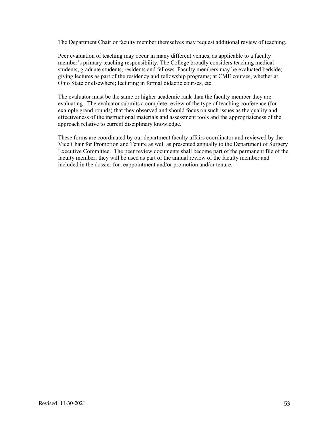The Department Chair or faculty member themselves may request additional review of teaching.

Peer evaluation of teaching may occur in many different venues, as applicable to a faculty member's primary teaching responsibility. The College broadly considers teaching medical students, graduate students, residents and fellows. Faculty members may be evaluated bedside; giving lectures as part of the residency and fellowship programs; at CME courses, whether at Ohio State or elsewhere; lecturing in formal didactic courses, etc.

The evaluator must be the same or higher academic rank than the faculty member they are evaluating. The evaluator submits a complete review of the type of teaching conference (for example grand rounds) that they observed and should focus on such issues as the quality and effectiveness of the instructional materials and assessment tools and the appropriateness of the approach relative to current disciplinary knowledge.

These forms are coordinated by our department faculty affairs coordinator and reviewed by the Vice Chair for Promotion and Tenure as well as presented annually to the Department of Surgery Executive Committee. The peer review documents shall become part of the permanent file of the faculty member; they will be used as part of the annual review of the faculty member and included in the dossier for reappointment and/or promotion and/or tenure.